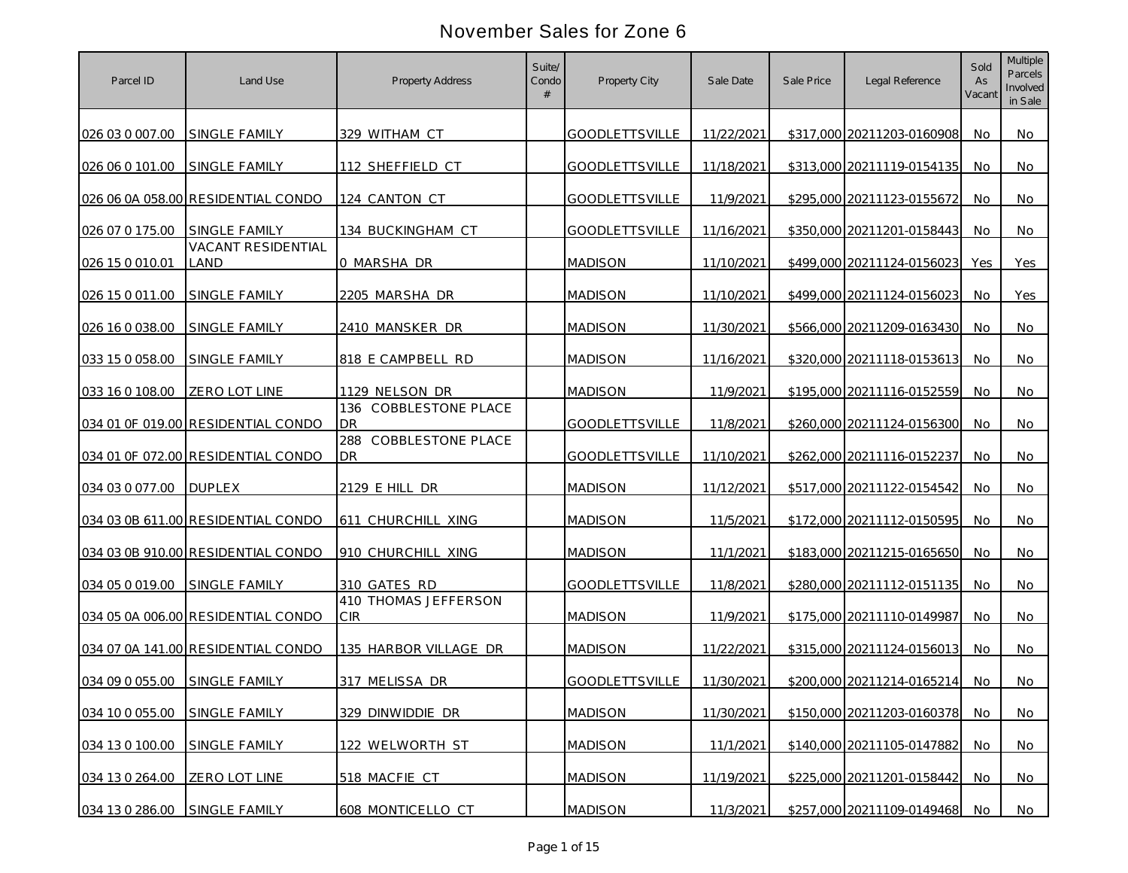| Parcel ID       | Land Use                           | <b>Property Address</b>                           | Suite/<br>Condo | Property City         | Sale Date  | Sale Price | Legal Reference            | Sold<br>As<br>Vacant | <b>Multiple</b><br>Parcels<br>Involved<br>in Sale |
|-----------------|------------------------------------|---------------------------------------------------|-----------------|-----------------------|------------|------------|----------------------------|----------------------|---------------------------------------------------|
| 026 03 0 007.00 | <b>SINGLE FAMILY</b>               | 329 WITHAM CT                                     |                 | <b>GOODLETTSVILLE</b> | 11/22/2021 |            | \$317,000 20211203-0160908 | No                   | No                                                |
| 026 06 0 101.00 | SINGLE FAMILY                      | 112 SHEFFIELD CT                                  |                 | <b>GOODLETTSVILLE</b> | 11/18/2021 |            | \$313,000 20211119-0154135 | No.                  | No                                                |
|                 | 026 06 0A 058.00 RESIDENTIAL CONDO | 124 CANTON CT                                     |                 | <b>GOODLETTSVILLE</b> | 11/9/2021  |            | \$295,000 20211123-0155672 | No                   | No                                                |
| 026 07 0 175.00 | SINGLE FAMILY                      | 134 BUCKINGHAM CT                                 |                 | <b>GOODLETTSVILLE</b> | 11/16/2021 |            | \$350,000 20211201-0158443 | No                   | No                                                |
| 026 15 0 010.01 | <b>VACANT RESIDENTIAL</b><br>LAND  | 0 MARSHA DR                                       |                 | <b>MADISON</b>        | 11/10/2021 |            | \$499,000 20211124-0156023 | Yes                  | Yes                                               |
| 026 15 0 011.00 | SINGLE FAMILY                      | 2205 MARSHA DR                                    |                 | <b>MADISON</b>        | 11/10/2021 |            | \$499,000 20211124-0156023 | No                   | Yes                                               |
| 026 16 0 038.00 | <b>SINGLE FAMILY</b>               | 2410 MANSKER DR                                   |                 | <b>MADISON</b>        | 11/30/2021 |            | \$566,000 20211209-0163430 | No                   | No                                                |
| 033 15 0 058.00 | SINGLE FAMILY                      | 818 E CAMPBELL RD                                 |                 | <b>MADISON</b>        | 11/16/2021 |            | \$320,000 20211118-0153613 | No                   | No                                                |
| 033 16 0 108.00 | <b>ZERO LOT LINE</b>               | 1129 NELSON DR<br>136<br><b>COBBLESTONE PLACE</b> |                 | <b>MADISON</b>        | 11/9/2021  |            | \$195,000 20211116-0152559 | No                   | No                                                |
|                 | 034 01 OF 019.00 RESIDENTIAL CONDO | <b>DR</b><br>288 COBBLESTONE PLACE                |                 | <b>GOODLETTSVILLE</b> | 11/8/2021  |            | \$260,000 20211124-0156300 | No.                  | No                                                |
|                 | 034 01 OF 072.00 RESIDENTIAL CONDO | <b>DR</b>                                         |                 | <b>GOODLETTSVILLE</b> | 11/10/2021 |            | \$262,000 20211116-0152237 | No                   | No.                                               |
| 034 03 0 077.00 | <b>DUPLEX</b>                      | 2129 E HILL DR                                    |                 | <b>MADISON</b>        | 11/12/2021 |            | \$517,000 20211122-0154542 | No.                  | No                                                |
|                 | 034 03 0B 611.00 RESIDENTIAL CONDO | 611 CHURCHILL XING                                |                 | <b>MADISON</b>        | 11/5/2021  |            | \$172,000 20211112-0150595 | No.                  | No                                                |
|                 | 034 03 0B 910.00 RESIDENTIAL CONDO | 910 CHURCHILL XING                                |                 | <b>MADISON</b>        | 11/1/2021  |            | \$183,000 20211215-0165650 | No                   | No                                                |
| 034 05 0 019.00 | SINGLE FAMILY                      | 310 GATES RD<br>410 THOMAS JEFFERSON              |                 | <b>GOODLETTSVILLE</b> | 11/8/2021  |            | \$280,000 20211112-0151135 | No.                  | No.                                               |
|                 | 034 05 0A 006.00 RESIDENTIAL CONDO | <b>CIR</b>                                        |                 | <b>MADISON</b>        | 11/9/2021  |            | \$175,000 20211110-0149987 | No.                  | No                                                |
|                 | 034 07 0A 141.00 RESIDENTIAL CONDO | 135 HARBOR VILLAGE DR                             |                 | <b>MADISON</b>        | 11/22/2021 |            | \$315,000 20211124-0156013 | No.                  | No.                                               |
| 034 09 0 055.00 | SINGLE FAMILY                      | 317 MELISSA DR                                    |                 | <b>GOODLETTSVILLE</b> | 11/30/2021 |            | \$200,000 20211214-0165214 | No.                  | No                                                |
| 034 10 0 055.00 | SINGLE FAMILY                      | 329 DINWIDDIE DR                                  |                 | <b>MADISON</b>        | 11/30/2021 |            | \$150,000 20211203-0160378 | - No                 | No                                                |
| 034 13 0 100.00 | SINGLE FAMILY                      | 122 WELWORTH ST                                   |                 | <b>MADISON</b>        | 11/1/2021  |            | \$140,000 20211105-0147882 | No                   | No                                                |
| 034 13 0 264.00 | ZERO LOT LINE                      | 518 MACFIE CT                                     |                 | <b>MADISON</b>        | 11/19/2021 |            | \$225,000 20211201-0158442 | No.                  | No                                                |
| 034 13 0 286.00 | SINGLE FAMILY                      | 608 MONTICELLO CT                                 |                 | <b>MADISON</b>        | 11/3/2021  |            | \$257,000 20211109-0149468 | No                   | No                                                |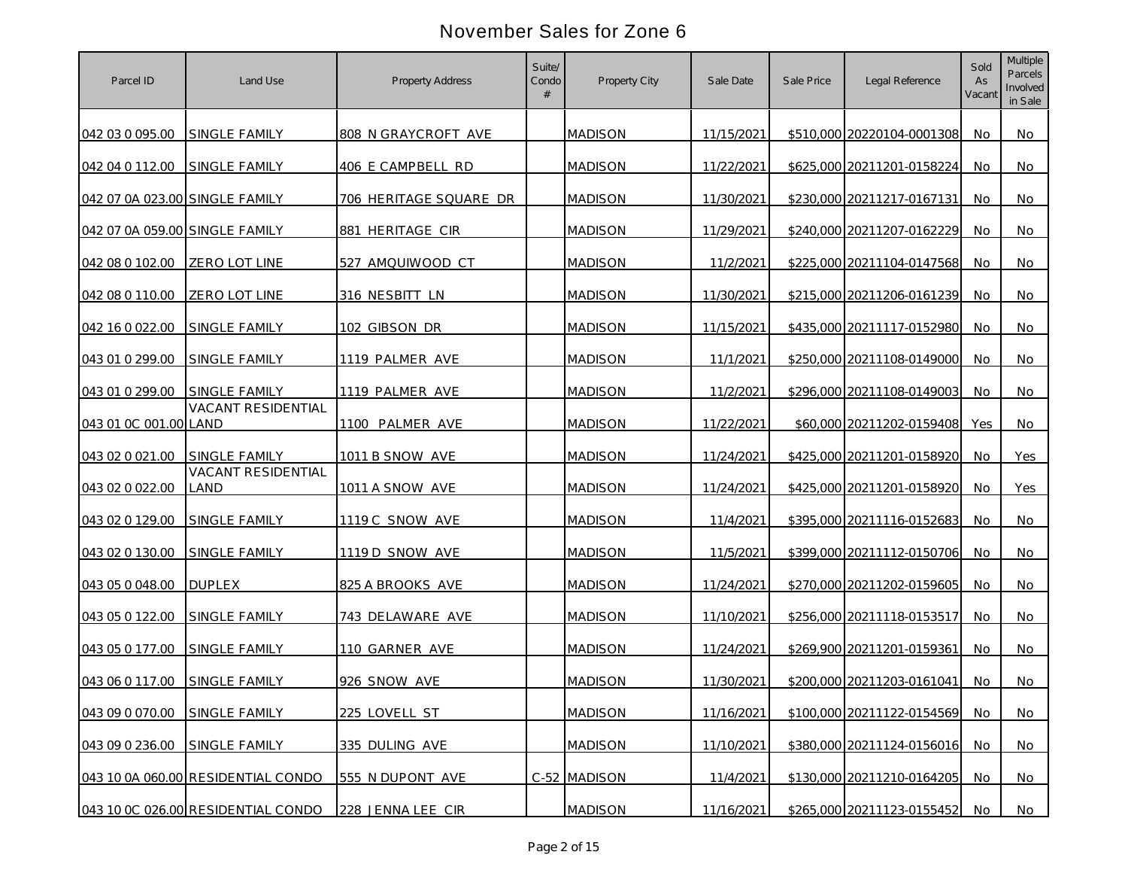| Parcel ID                      | Land Use                                   | <b>Property Address</b> | Suite/<br>Condo | Property City  | Sale Date  | Sale Price | Legal Reference            | Sold<br>As<br>Vacant | <b>Multiple</b><br>Parcels<br>Involved<br>in Sale |
|--------------------------------|--------------------------------------------|-------------------------|-----------------|----------------|------------|------------|----------------------------|----------------------|---------------------------------------------------|
| 042 03 0 095.00                | <b>SINGLE FAMILY</b>                       | 808 N GRAYCROFT AVE     |                 | <b>MADISON</b> | 11/15/2021 |            | \$510,000 20220104-0001308 | No                   | No                                                |
| 042 04 0 112.00                | SINGLE FAMILY                              | 406 E CAMPBELL RD       |                 | <b>MADISON</b> | 11/22/2021 |            | \$625,000 20211201-0158224 | No.                  | No                                                |
| 042 07 0A 023.00 SINGLE FAMILY |                                            | 706 HERITAGE SQUARE DR  |                 | <b>MADISON</b> | 11/30/2021 |            | \$230,000 20211217-0167131 | No                   | No                                                |
| 042 07 0A 059.00 SINGLE FAMILY |                                            | 881 HERITAGE CIR        |                 | <b>MADISON</b> | 11/29/2021 |            | \$240,000 20211207-0162229 | No                   | No                                                |
| 042 08 0 102.00                | ZERO LOT LINE                              | 527 AMQUIWOOD CT        |                 | <b>MADISON</b> | 11/2/2021  |            | \$225,000 20211104-0147568 | No                   | No                                                |
| 042 08 0 110.00                | ZERO LOT LINE                              | 316 NESBITT LN          |                 | <b>MADISON</b> | 11/30/2021 |            | \$215,000 20211206-0161239 | No                   | No                                                |
| 042 16 0 022.00                | <b>SINGLE FAMILY</b>                       | 102 GIBSON DR           |                 | <b>MADISON</b> | 11/15/2021 |            | \$435,000 20211117-0152980 | No                   | No                                                |
| 043 01 0 299.00                | SINGLE FAMILY                              | 1119 PALMER AVE         |                 | <b>MADISON</b> | 11/1/2021  |            | \$250,000 20211108-0149000 | No                   | No                                                |
| 043 01 0 299.00                | SINGLE FAMILY<br>VACANT RESIDENTIAL        | 1119 PALMER AVE         |                 | <b>MADISON</b> | 11/2/2021  |            | \$296,000 20211108-0149003 | No                   | No                                                |
| 043 01 0C 001.00 LAND          |                                            | 1100 PALMER AVE         |                 | <b>MADISON</b> | 11/22/2021 |            | \$60,000 20211202-0159408  | Yes                  | No                                                |
| 043 02 0 021.00                | <b>SINGLE FAMILY</b><br>VACANT RESIDENTIAL | 1011 B SNOW AVE         |                 | <b>MADISON</b> | 11/24/2021 |            | \$425,000 20211201-0158920 | No                   | Yes                                               |
| 043 02 0 022.00                | land                                       | 1011 A SNOW AVE         |                 | <b>MADISON</b> | 11/24/2021 |            | \$425,000 20211201-0158920 | No                   | Yes                                               |
| 043 02 0 129.00                | <b>SINGLE FAMILY</b>                       | 1119 C SNOW AVE         |                 | <b>MADISON</b> | 11/4/2021  |            | \$395,000 20211116-0152683 | <b>No</b>            | No                                                |
| 043 02 0 130.00                | SINGLE FAMILY                              | 1119 D SNOW AVE         |                 | <b>MADISON</b> | 11/5/2021  |            | \$399,000 20211112-0150706 | No                   | No                                                |
| 043 05 0 048.00                | <b>DUPLEX</b>                              | 825 A BROOKS AVE        |                 | <b>MADISON</b> | 11/24/2021 |            | \$270,000 20211202-0159605 | No.                  | No.                                               |
| 043 05 0 122.00                | <b>SINGLE FAMILY</b>                       | 743 DELAWARE AVE        |                 | <b>MADISON</b> | 11/10/2021 |            | \$256,000 20211118-0153517 | No.                  | No                                                |
| 043 05 0 177.00                | <b>SINGLE FAMILY</b>                       | 110 GARNER AVE          |                 | <b>MADISON</b> | 11/24/2021 |            | \$269,900 20211201-0159361 | No.                  | No                                                |
| 043 06 0 117.00                | SINGLE FAMILY                              | 926 SNOW AVE            |                 | <b>MADISON</b> | 11/30/2021 |            | \$200,000 20211203-0161041 | No.                  | No                                                |
| 043 09 0 070.00                | SINGLE FAMILY                              | 225 LOVELL ST           |                 | <b>MADISON</b> | 11/16/2021 |            | \$100,000 20211122-0154569 | No                   | No                                                |
| 043 09 0 236.00                | SINGLE FAMILY                              | 335 DULING AVE          |                 | <b>MADISON</b> | 11/10/2021 |            | \$380,000 20211124-0156016 | No                   | No                                                |
|                                | 043 10 0A 060.00 RESIDENTIAL CONDO         | 555 N DUPONT AVE        |                 | C-52 MADISON   | 11/4/2021  |            | \$130,000 20211210-0164205 | No.                  | No                                                |
|                                | 043 10 0C 026.00 RESIDENTIAL CONDO         | 228 JENNA LEE CIR       |                 | <b>MADISON</b> | 11/16/2021 |            | \$265,000 20211123-0155452 | No                   | No                                                |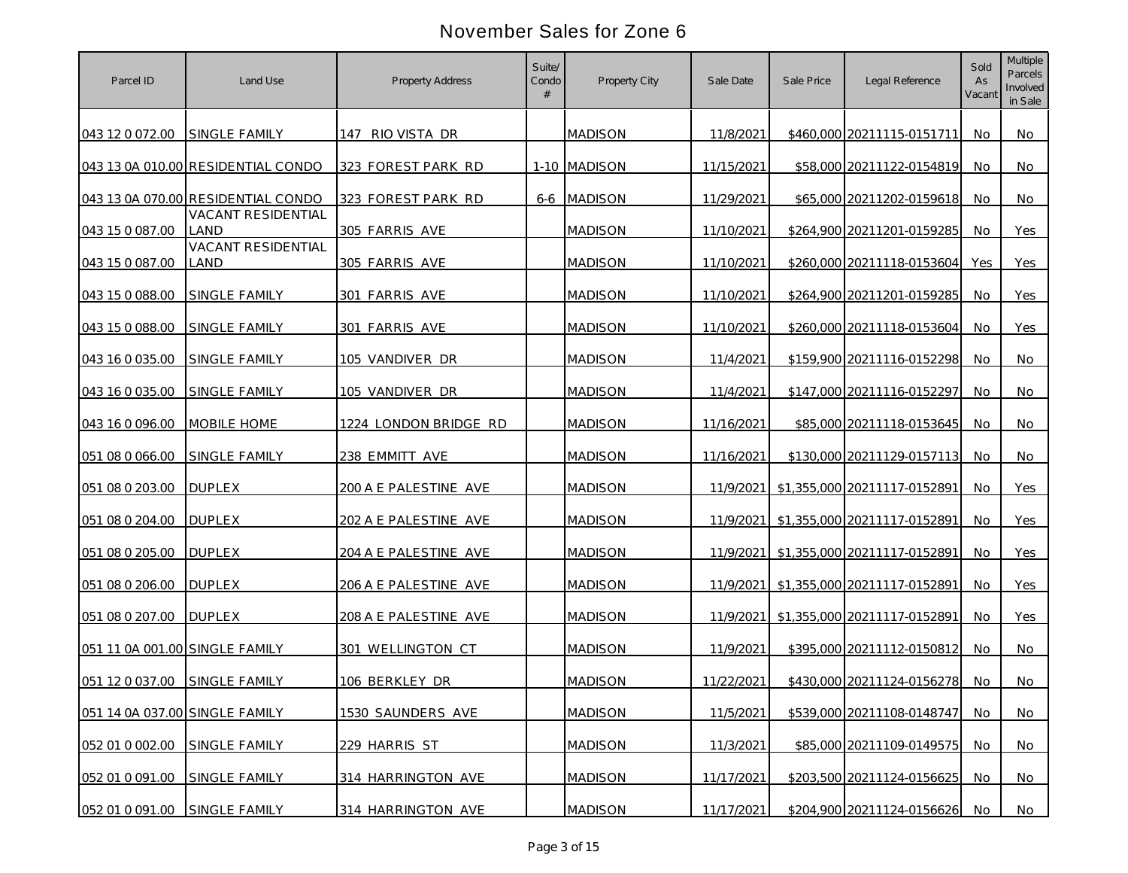| Parcel ID                      | Land Use                           | <b>Property Address</b> | Suite/<br>Condo | Property City  | Sale Date  | Sale Price | Legal Reference                        | Sold<br>As<br>Vacant | <b>Multiple</b><br>Parcels<br>Involved<br>in Sale |
|--------------------------------|------------------------------------|-------------------------|-----------------|----------------|------------|------------|----------------------------------------|----------------------|---------------------------------------------------|
| 043 12 0 072.00                | <b>SINGLE FAMILY</b>               | 147 RIO VISTA DR        |                 | <b>MADISON</b> | 11/8/2021  |            | \$460,000 20211115-0151711             | No                   | No                                                |
|                                | 043 13 0A 010.00 RESIDENTIAL CONDO | 323 FOREST PARK RD      |                 | 1-10 MADISON   | 11/15/2021 |            | \$58,000 20211122-0154819              | No.                  | No                                                |
|                                | 043 13 0A 070.00 RESIDENTIAL CONDO | 323 FOREST PARK RD      |                 | 6-6 MADISON    | 11/29/2021 |            | \$65,000 20211202-0159618              | No                   | No                                                |
| 043 15 0 087.00                | VACANT RESIDENTIAL<br>LAND         | 305 FARRIS AVE          |                 | <b>MADISON</b> | 11/10/2021 |            | \$264,900 20211201-0159285             | No                   | Yes                                               |
| 043 15 0 087.00                | <b>VACANT RESIDENTIAL</b><br>LAND  | 305 FARRIS AVE          |                 | <b>MADISON</b> | 11/10/2021 |            | \$260,000 20211118-0153604             | Yes                  | Yes                                               |
| 043 15 0 088.00                | SINGLE FAMILY                      | 301 FARRIS AVE          |                 | <b>MADISON</b> | 11/10/2021 |            | \$264,900 20211201-0159285             | No                   | Yes                                               |
| 043 15 0 088.00                | <b>SINGLE FAMILY</b>               | 301 FARRIS AVE          |                 | <b>MADISON</b> | 11/10/2021 |            | \$260,000 20211118-0153604             | No                   | Yes                                               |
| 043 16 0 035.00                | SINGLE FAMILY                      | 105 VANDIVER DR         |                 | <b>MADISON</b> | 11/4/2021  |            | \$159,900 20211116-0152298             | No                   | No                                                |
| 043 16 0 035.00                | <b>SINGLE FAMILY</b>               | 105 VANDIVER DR         |                 | <b>MADISON</b> | 11/4/2021  |            | \$147,000 20211116-0152297             | No.                  | No                                                |
| 043 16 0 096.00                | MOBILE HOME                        | 1224 LONDON BRIDGE RD   |                 | <b>MADISON</b> | 11/16/2021 |            | \$85,000 20211118-0153645              | No                   | No                                                |
| 051 08 0 066.00                | <b>SINGLE FAMILY</b>               | 238 EMMITT AVE          |                 | <b>MADISON</b> | 11/16/2021 |            | \$130,000 20211129-0157113             | No                   | No                                                |
| 051 08 0 203.00                | <b>DUPLEX</b>                      | 200 A E PALESTINE AVE   |                 | <b>MADISON</b> | 11/9/2021  |            | \$1,355,000 20211117-0152891           | No                   | Yes                                               |
| 051 08 0 204.00                | <b>DUPLEX</b>                      | 202 A E PALESTINE AVE   |                 | <b>MADISON</b> |            |            | 11/9/2021 \$1,355,000 20211117-0152891 | No                   | Yes                                               |
| 051 08 0 205.00                | <b>DUPLEX</b>                      | 204 A E PALESTINE AVE   |                 | <b>MADISON</b> | 11/9/2021  |            | \$1,355,000 20211117-0152891           | No                   | Yes                                               |
| 051 08 0 206.00                | <b>DUPLEX</b>                      | 206 A E PALESTINE AVE   |                 | <b>MADISON</b> |            |            | 11/9/2021 \$1,355,000 20211117-0152891 | No                   | Yes                                               |
| 051 08 0 207.00                | <b>DUPLEX</b>                      | 208 A E PALESTINE AVE   |                 | <b>MADISON</b> | 11/9/2021  |            | \$1,355,000 20211117-0152891           | No.                  | Yes                                               |
| 051 11 0A 001.00 SINGLE FAMILY |                                    | 301 WELLINGTON CT       |                 | <b>MADISON</b> | 11/9/2021  |            | \$395,000 20211112-0150812             | No.                  | No.                                               |
| 051 12 0 037.00                | SINGLE FAMILY                      | 106 BERKLEY DR          |                 | <b>MADISON</b> | 11/22/2021 |            | \$430,000 20211124-0156278             | No                   | No                                                |
| 051 14 0A 037.00 SINGLE FAMILY |                                    | 1530 SAUNDERS AVE       |                 | <b>MADISON</b> | 11/5/2021  |            | \$539,000 20211108-0148747             | - No                 | No                                                |
| 052 01 0 002.00                | SINGLE FAMILY                      | 229 HARRIS ST           |                 | <b>MADISON</b> | 11/3/2021  |            | \$85,000 20211109-0149575              | No                   | No                                                |
| 052 01 0 091.00                | SINGLE FAMILY                      | 314 HARRINGTON AVE      |                 | <b>MADISON</b> | 11/17/2021 |            | \$203,500 20211124-0156625             | No.                  | No                                                |
| 052 01 0 091.00                | SINGLE FAMILY                      | 314 HARRINGTON AVE      |                 | <b>MADISON</b> | 11/17/2021 |            | \$204,900 20211124-0156626             | No                   | No                                                |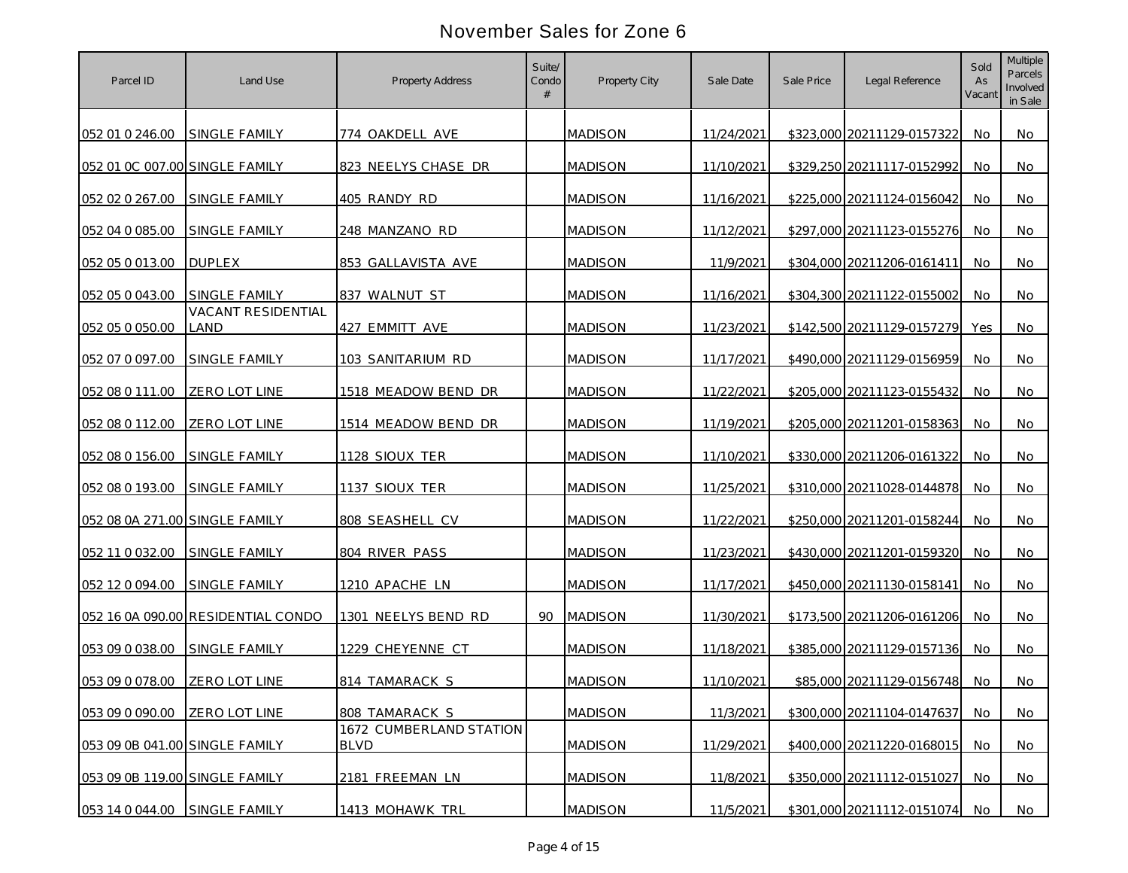| Parcel ID                      | Land Use                           | <b>Property Address</b>                | Suite/<br>Condo | Property City  | Sale Date  | Sale Price | Legal Reference            | Sold<br>As<br>Vacant | <b>Multiple</b><br>Parcels<br>Involved<br>in Sale |
|--------------------------------|------------------------------------|----------------------------------------|-----------------|----------------|------------|------------|----------------------------|----------------------|---------------------------------------------------|
| 052 01 0 246.00                | <b>SINGLE FAMILY</b>               | 774 OAKDELL AVE                        |                 | <b>MADISON</b> | 11/24/2021 |            | \$323,000 20211129-0157322 | No.                  | No                                                |
| 052 01 0C 007.00 SINGLE FAMILY |                                    | 823 NEELYS CHASE DR                    |                 | <b>MADISON</b> | 11/10/2021 |            | \$329,250 20211117-0152992 | No.                  | No                                                |
| 052 02 0 267.00                | SINGLE FAMILY                      | 405 RANDY RD                           |                 | <b>MADISON</b> | 11/16/2021 |            | \$225,000 20211124-0156042 | No                   | No                                                |
| 052 04 0 085.00                | SINGLE FAMILY                      | 248 MANZANO RD                         |                 | <b>MADISON</b> | 11/12/2021 |            | \$297,000 20211123-0155276 | No.                  | No                                                |
| 052 05 0 013 00                | <b>DUPLEX</b>                      | 853 GALLAVISTA AVE                     |                 | <b>MADISON</b> | 11/9/2021  |            | \$304,000 20211206-0161411 | No                   | No                                                |
| 052 05 0 043.00                | <b>SINGLE FAMILY</b>               | 837 WALNUT ST                          |                 | <b>MADISON</b> | 11/16/2021 |            | \$304,300 20211122-0155002 | No.                  | No                                                |
| 052 05 0 050.00                | <b>VACANT RESIDENTIAL</b><br>LAND  | 427 EMMITT AVE                         |                 | <b>MADISON</b> | 11/23/2021 |            | \$142,500 20211129-0157279 | Yes                  | No                                                |
| 052 07 0 097.00                | SINGLE FAMILY                      | 103 SANITARIUM RD                      |                 | <b>MADISON</b> | 11/17/2021 |            | \$490,000 20211129-0156959 | No.                  | No                                                |
| 052 08 0 111.00                | ZERO LOT LINE                      | 1518 MEADOW BEND DR                    |                 | <b>MADISON</b> | 11/22/2021 |            | \$205,000 20211123-0155432 | No                   | No                                                |
| 052 08 0 112.00                | <b>ZERO LOT LINE</b>               | 1514 MEADOW BEND DR                    |                 | <b>MADISON</b> | 11/19/2021 |            | \$205,000 20211201-0158363 | No.                  | No                                                |
| 052 08 0 156.00                | <b>SINGLE FAMILY</b>               | 1128 SIOUX TER                         |                 | <b>MADISON</b> | 11/10/2021 |            | \$330,000 20211206-0161322 | No.                  | No                                                |
| 052 08 0 193.00                | <b>SINGLE FAMILY</b>               | 1137 SIOUX TER                         |                 | <b>MADISON</b> | 11/25/2021 |            | \$310,000 20211028-0144878 | No.                  | No                                                |
| 052 08 0A 271.00 SINGLE FAMILY |                                    | 808 SEASHELL CV                        |                 | <b>MADISON</b> | 11/22/2021 |            | \$250,000 20211201-0158244 | No                   | <b>No</b>                                         |
| 052 11 0 032.00                | SINGLE FAMILY                      | 804 RIVER PASS                         |                 | <b>MADISON</b> | 11/23/2021 |            | \$430,000 20211201-0159320 | No                   | No                                                |
| 052 12 0 094.00                | SINGLE FAMILY                      | 1210 APACHE LN                         |                 | <b>MADISON</b> | 11/17/2021 |            | \$450,000 20211130-0158141 | No.                  | No.                                               |
|                                | 052 16 0A 090.00 RESIDENTIAL CONDO | 1301 NEELYS BEND RD                    | 90              | <b>MADISON</b> | 11/30/2021 |            | \$173,500 20211206-0161206 | No.                  | No.                                               |
| 053 09 0 038.00                | SINGLE FAMILY                      | 1229 CHEYENNE CT                       |                 | <b>MADISON</b> | 11/18/2021 |            | \$385,000 20211129-0157136 | No.                  | No                                                |
| 053 09 0 078.00                | ZERO LOT LINE                      | 814 TAMARACK S                         |                 | <b>MADISON</b> | 11/10/2021 |            | \$85,000 20211129-0156748  | No.                  | No                                                |
| 053 09 0 090.00 ZERO LOT LINE  |                                    | 808 TAMARACK S                         |                 | <b>MADISON</b> | 11/3/2021  |            | \$300,000 20211104-0147637 | No.                  | No                                                |
| 053 09 0B 041.00 SINGLE FAMILY |                                    | 1672 CUMBERLAND STATION<br><b>BLVD</b> |                 | <b>MADISON</b> | 11/29/2021 |            | \$400,000 20211220-0168015 | No                   | No                                                |
| 053 09 0B 119.00 SINGLE FAMILY |                                    | 2181 FREEMAN LN                        |                 | <b>MADISON</b> | 11/8/2021  |            | \$350,000 20211112-0151027 | No.                  | No                                                |
| 053 14 0 044.00                | SINGLE FAMILY                      | 1413 MOHAWK TRL                        |                 | <b>MADISON</b> | 11/5/2021  |            | \$301,000 20211112-0151074 | No                   | No                                                |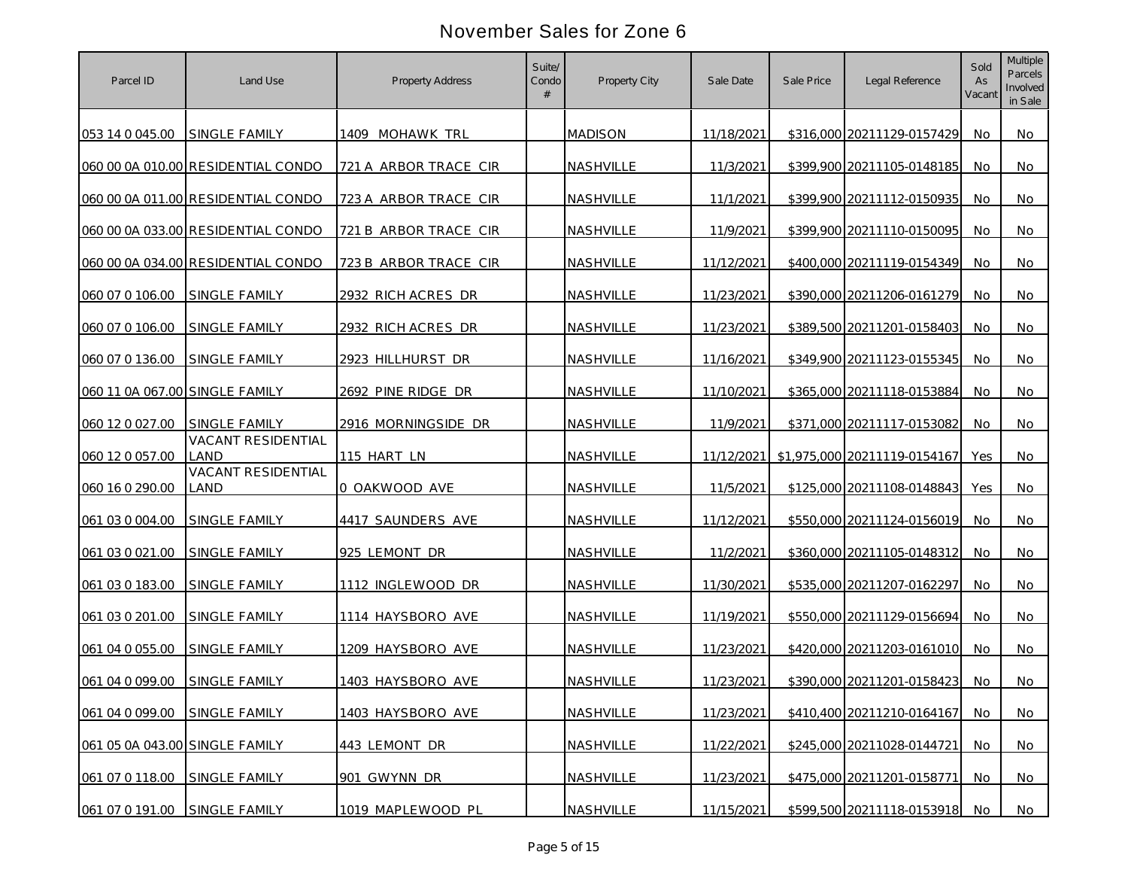| Parcel ID                      | Land Use                                          | <b>Property Address</b> | Suite/<br>Condo | Property City  | Sale Date  | Sale Price | Legal Reference                           | Sold<br>As<br>Vacant | <b>Multiple</b><br>Parcels<br>Involved<br>in Sale |
|--------------------------------|---------------------------------------------------|-------------------------|-----------------|----------------|------------|------------|-------------------------------------------|----------------------|---------------------------------------------------|
| 053 14 0 045.00                | <b>SINGLE FAMILY</b>                              | 1409 MOHAWK TRL         |                 | <b>MADISON</b> | 11/18/2021 |            | \$316,000 20211129-0157429                | No                   | No                                                |
|                                | 060 00 0A 010.00 RESIDENTIAL CONDO                | 721 A ARBOR TRACE CIR   |                 | NASHVILLE      | 11/3/2021  |            | \$399,900 20211105-0148185                | No.                  | No                                                |
|                                | 060 00 0A 011.00 RESIDENTIAL CONDO                | 723 A ARBOR TRACE CIR   |                 | NASHVILLE      | 11/1/2021  |            | \$399,900 20211112-0150935                | No                   | No                                                |
|                                | 060 00 0A 033.00 RESIDENTIAL CONDO                | 721 B ARBOR TRACE CIR   |                 | NASHVILLE      | 11/9/2021  |            | \$399,900 20211110-0150095                | No                   | No                                                |
|                                | 060 00 0A 034.00 RESIDENTIAL CONDO                | 723 B ARBOR TRACE CIR   |                 | NASHVILLE      | 11/12/2021 |            | \$400,000 20211119-0154349                | No                   | No                                                |
| 060 07 0 106.00                | SINGLE FAMILY                                     | 2932 RICH ACRES DR      |                 | NASHVILLE      | 11/23/2021 |            | \$390,000 20211206-0161279                | No.                  | No                                                |
| 060 07 0 106.00                | SINGLE FAMILY                                     | 2932 RICH ACRES DR      |                 | NASHVILLE      | 11/23/2021 |            | \$389,500 20211201-0158403                | No                   | No                                                |
| 060 07 0 136.00                | SINGLE FAMILY                                     | 2923 HILLHURST DR       |                 | NASHVILLE      | 11/16/2021 |            | \$349,900 20211123-0155345                | No                   | No                                                |
| 060 11 0A 067.00 SINGLE FAMILY |                                                   | 2692 PINE RIDGE DR      |                 | NASHVILLE      | 11/10/2021 |            | \$365,000 20211118-0153884                | No                   | No                                                |
| 060 12 0 027.00                | <b>SINGLE FAMILY</b><br><b>VACANT RESIDENTIAL</b> | 2916 MORNINGSIDE DR     |                 | NASHVILLE      | 11/9/2021  |            | \$371.000 20211117-0153082                | No                   | No                                                |
| 060 12 0 057.00                | LAND<br>VACANT RESIDENTIAL                        | 115 HART LN             |                 | NASHVILLE      |            |            | 11/12/2021   \$1,975,000 20211119-0154167 | Yes                  | No.                                               |
| 060 16 0 290.00                | LAND                                              | 0 OAKWOOD AVE           |                 | NASHVILLE      | 11/5/2021  |            | \$125,000 20211108-0148843                | Yes                  | No                                                |
| 061 03 0 004.00                | <b>SINGLE FAMILY</b>                              | 4417 SAUNDERS AVE       |                 | NASHVILLE      | 11/12/2021 |            | \$550,000 20211124-0156019                | No.                  | No                                                |
| 061 03 0 021 00                | SINGLE FAMILY                                     | 925 LEMONT DR           |                 | NASHVILLE      | 11/2/2021  |            | \$360,000 20211105-0148312                | No                   | No                                                |
| 061 03 0 183.00                | SINGLE FAMILY                                     | 1112 INGLEWOOD DR       |                 | NASHVILLE      | 11/30/2021 |            | \$535,000 20211207-0162297                | No.                  | No.                                               |
| 061 03 0 201.00                | <b>SINGLE FAMILY</b>                              | 1114 HAYSBORO AVE       |                 | NASHVILLE      | 11/19/2021 |            | \$550,000 20211129-0156694                | No.                  | No                                                |
| 061 04 0 055.00                | <b>SINGLE FAMILY</b>                              | 1209 HAYSBORO AVE       |                 | NASHVILLE      | 11/23/2021 |            | \$420,000 20211203-0161010                | No.                  | No.                                               |
| 061 04 0 099.00                | <b>SINGLE FAMILY</b>                              | 1403 HAYSBORO AVE       |                 | NASHVILLE      | 11/23/2021 |            | \$390,000 20211201-0158423                | No.                  | No                                                |
| 061 04 0 099.00                | SINGLE FAMILY                                     | 1403 HAYSBORO AVE       |                 | NASHVILLE      | 11/23/2021 |            | \$410,400 20211210-0164167                | No                   | No                                                |
| 061 05 0A 043.00 SINGLE FAMILY |                                                   | 443 LEMONT DR           |                 | NASHVILLE      | 11/22/2021 |            | \$245,000 20211028-0144721                | No                   | No                                                |
| 061 07 0 118.00                | SINGLE FAMILY                                     | 901 GWYNN DR            |                 | NASHVILLE      | 11/23/2021 |            | \$475,000 20211201-0158771                | No.                  | No                                                |
| 061 07 0 191.00                | SINGLE FAMILY                                     | 1019 MAPLEWOOD PL       |                 | NASHVILLE      | 11/15/2021 |            | \$599,500 20211118-0153918                | No                   | No                                                |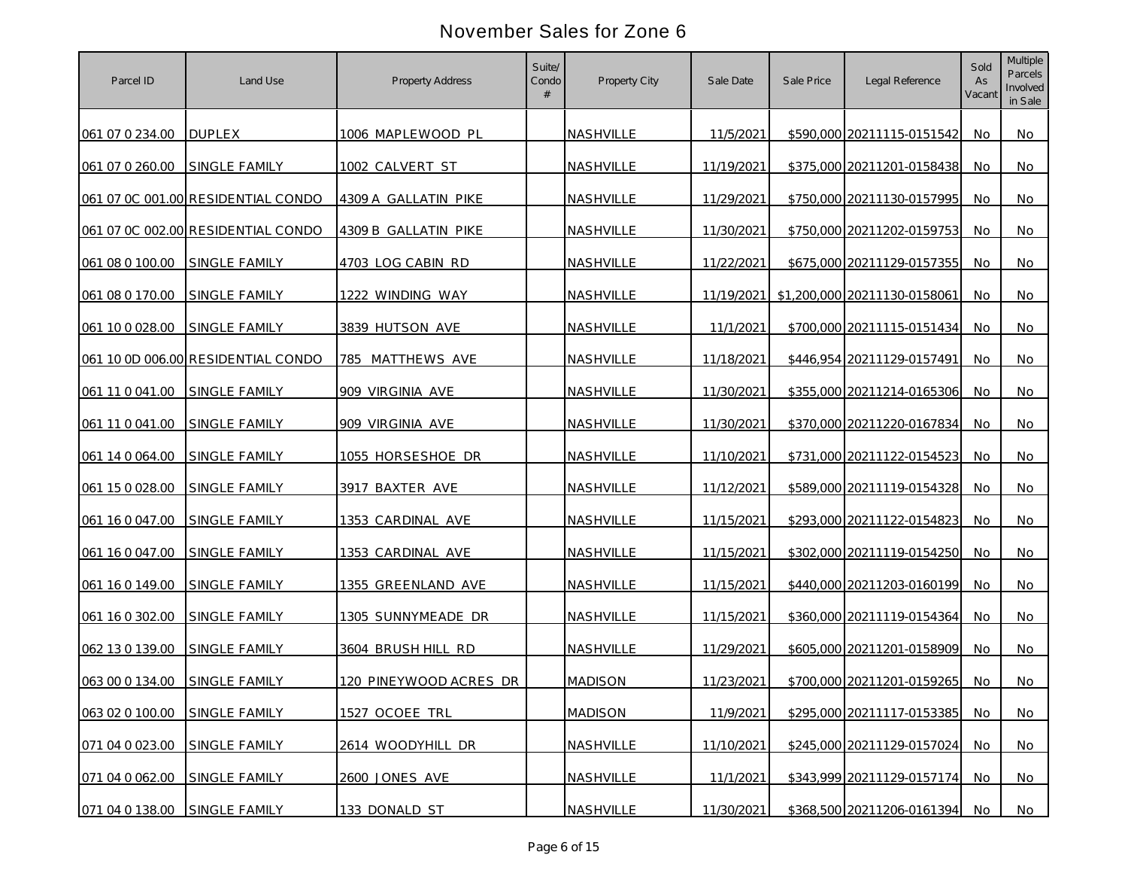| Parcel ID       | Land Use                           | <b>Property Address</b> | Suite/<br>Condo | Property City  | Sale Date  | Sale Price | Legal Reference              | Sold<br>As<br>Vacant | <b>Multiple</b><br>Parcels<br>Involved<br>in Sale |
|-----------------|------------------------------------|-------------------------|-----------------|----------------|------------|------------|------------------------------|----------------------|---------------------------------------------------|
| 061 07 0 234.00 | <b>DUPLEX</b>                      | 1006 MAPLEWOOD PL       |                 | NASHVILLE      | 11/5/2021  |            | \$590,000 20211115-0151542   | No.                  | No                                                |
| 061 07 0 260.00 | <b>SINGLE FAMILY</b>               | 1002 CALVERT ST         |                 | NASHVILLE      | 11/19/2021 |            | \$375,000 20211201-0158438   | No.                  | No                                                |
|                 | 061 07 0C 001.00 RESIDENTIAL CONDO | 4309 A GALLATIN PIKE    |                 | NASHVILLE      | 11/29/2021 |            | \$750,000 20211130-0157995   | No                   | No                                                |
|                 | 061 07 0C 002.00 RESIDENTIAL CONDO | 4309 B GALLATIN PIKE    |                 | NASHVILLE      | 11/30/2021 |            | \$750,000 20211202-0159753   | No                   | No                                                |
| 061 08 0 100.00 | SINGLE FAMILY                      | 4703 LOG CABIN RD       |                 | NASHVILLE      | 11/22/2021 |            | \$675,000 20211129-0157355   | No                   | No                                                |
| 061 08 0 170.00 | SINGLE FAMILY                      | 1222 WINDING WAY        |                 | NASHVILLE      | 11/19/2021 |            | \$1,200,000 20211130-0158061 | No                   | No                                                |
| 061 10 0 028.00 | SINGLE FAMILY                      | 3839 HUTSON AVE         |                 | NASHVILLE      | 11/1/2021  |            | \$700,000 20211115-0151434   | No                   | No                                                |
|                 | 061 10 0D 006.00 RESIDENTIAL CONDO | 785 MATTHEWS AVE        |                 | NASHVILLE      | 11/18/2021 |            | \$446,954 20211129-0157491   | No                   | No                                                |
| 061 11 0 041 00 | SINGLE FAMILY                      | 909 VIRGINIA AVE        |                 | NASHVILLE      | 11/30/2021 |            | \$355,000 20211214-0165306   | No                   | No                                                |
| 061 11 0 041.00 | <b>SINGLE FAMILY</b>               | 909 VIRGINIA AVE        |                 | NASHVILLE      | 11/30/2021 |            | \$370,000 20211220-0167834   | No.                  | No                                                |
| 061 14 0 064.00 | SINGLE FAMILY                      | 1055 HORSESHOE DR       |                 | NASHVILLE      | 11/10/2021 |            | \$731,000 20211122-0154523   | <b>No</b>            | No                                                |
| 061 15 0 028.00 | SINGLE FAMILY                      | 3917 BAXTER AVE         |                 | NASHVILLE      | 11/12/2021 |            | \$589,000 20211119-0154328   | No                   | No                                                |
| 061 16 0 047.00 | SINGLE FAMILY                      | 1353 CARDINAL AVE       |                 | NASHVILLE      | 11/15/2021 |            | \$293,000 20211122-0154823   | <b>No</b>            | No                                                |
| 061 16 0 047.00 | SINGLE FAMILY                      | 1353 CARDINAL AVE       |                 | NASHVILLE      | 11/15/2021 |            | \$302,000 20211119-0154250   | No                   | No                                                |
| 061 16 0 149.00 | <b>SINGLE FAMILY</b>               | 1355 GREENLAND AVE      |                 | NASHVILLE      | 11/15/2021 |            | \$440,000 20211203-0160199   | No.                  | No.                                               |
| 061 16 0 302.00 | <b>SINGLE FAMILY</b>               | 1305 SUNNYMEADE DR      |                 | NASHVILLE      | 11/15/2021 |            | \$360,000 20211119-0154364   | <b>No</b>            | No                                                |
| 062 13 0 139.00 | <b>SINGLE FAMILY</b>               | 3604 BRUSH HILL RD      |                 | NASHVILLE      | 11/29/2021 |            | \$605,000 20211201-0158909   | No.                  | No                                                |
| 063 00 0 134.00 | SINGLE FAMILY                      | 120 PINEYWOOD ACRES DR  |                 | <b>MADISON</b> | 11/23/2021 |            | \$700,000 20211201-0159265   | No.                  | No                                                |
| 063 02 0 100.00 | SINGLE FAMILY                      | 1527 OCOEE TRL          |                 | <b>MADISON</b> | 11/9/2021  |            | \$295,000 20211117-0153385   | No.                  | No                                                |
| 071 04 0 023.00 | SINGLE FAMILY                      | 2614 WOODYHILL DR       |                 | NASHVILLE      | 11/10/2021 |            | \$245,000 20211129-0157024   | No                   | No                                                |
| 071 04 0 062.00 | SINGLE FAMILY                      | 2600 JONES AVE          |                 | NASHVILLE      | 11/1/2021  |            | \$343,999 20211129-0157174   | No.                  | No                                                |
| 071 04 0 138.00 | SINGLE FAMILY                      | 133 DONALD ST           |                 | NASHVILLE      | 11/30/2021 |            | \$368,500 20211206-0161394   | No                   | No                                                |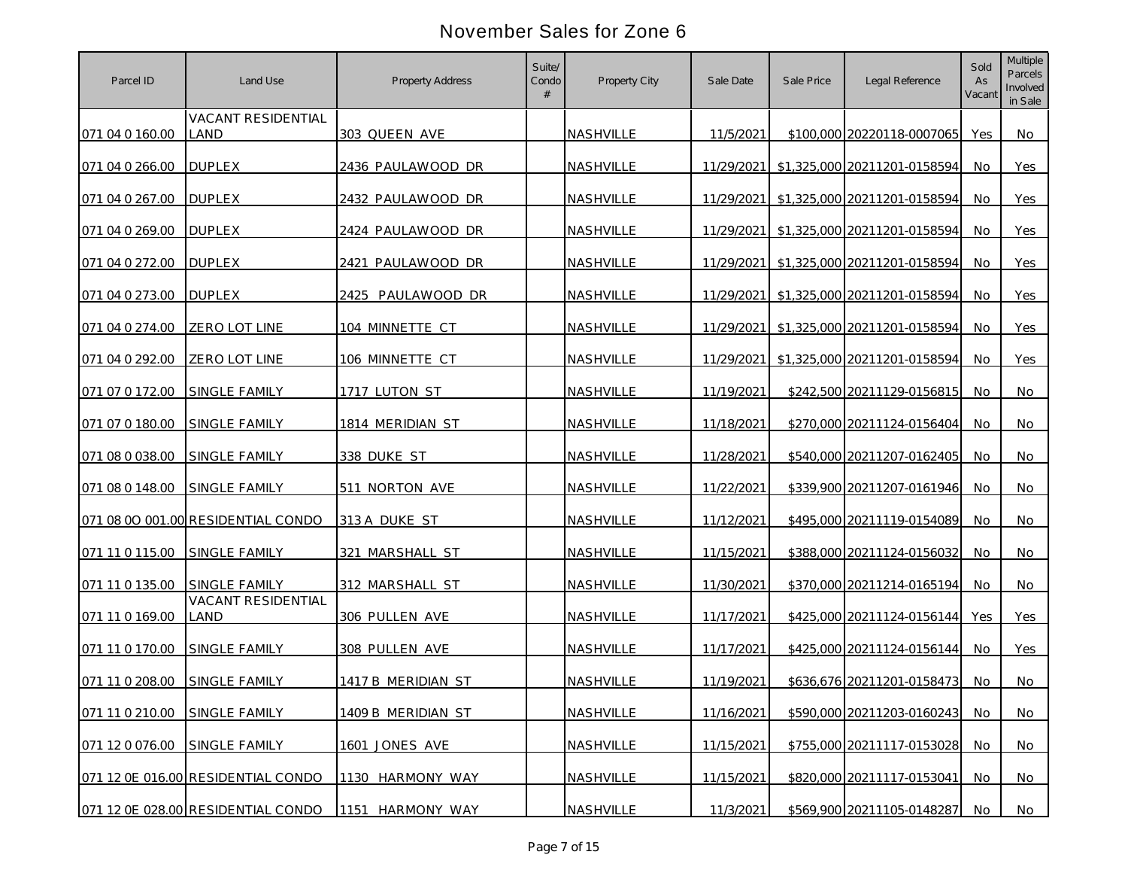| Parcel ID       | Land Use                                   | <b>Property Address</b> | Suite/<br>Condo | Property City    | Sale Date  | Sale Price | Legal Reference                         | Sold<br>As<br>Vacant | <b>Multiple</b><br>Parcels<br>Involved<br>in Sale |
|-----------------|--------------------------------------------|-------------------------|-----------------|------------------|------------|------------|-----------------------------------------|----------------------|---------------------------------------------------|
| 071 04 0 160.00 | <b>VACANT RESIDENTIAL</b><br>LAND          | 303 QUEEN AVE           |                 | <b>NASHVILLE</b> | 11/5/2021  |            | \$100,000 20220118-0007065              | Yes                  | No                                                |
| 071 04 0 266.00 | <b>DUPLEX</b>                              | 2436 PAULAWOOD DR       |                 | NASHVILLE        |            |            | 11/29/2021 \$1,325,000 20211201-0158594 | No.                  | Yes                                               |
| 071 04 0 267.00 | <b>DUPLEX</b>                              | 2432 PAULAWOOD DR       |                 | NASHVILLE        | 11/29/2021 |            | \$1,325,000 20211201-0158594            | No                   | Yes                                               |
| 071 04 0 269.00 | <b>DUPLEX</b>                              | 2424 PAULAWOOD DR       |                 | NASHVILLE        | 11/29/2021 |            | \$1,325,000 20211201-0158594            | No.                  | Yes                                               |
| 071 04 0 272.00 | <b>DUPLEX</b>                              | 2421 PAULAWOOD DR       |                 | NASHVILLE        | 11/29/2021 |            | \$1,325,000 20211201-0158594            | No                   | Yes                                               |
| 071 04 0 273.00 | <b>DUPLEX</b>                              | 2425 PAULAWOOD DR       |                 | NASHVILLE        | 11/29/2021 |            | \$1,325,000 20211201-0158594            | No.                  | Yes                                               |
| 071 04 0 274.00 | ZERO LOT LINE                              | 104 MINNETTE CT         |                 | NASHVILLE        | 11/29/2021 |            | \$1,325,000 20211201-0158594            | No                   | Yes                                               |
| 071 04 0 292.00 | ZERO LOT LINE                              | 106 MINNETTE CT         |                 | NASHVILLE        | 11/29/2021 |            | \$1,325,000 20211201-0158594            | No                   | Yes                                               |
| 071 07 0 172.00 | SINGLE FAMILY                              | 1717 LUTON ST           |                 | NASHVILLE        | 11/19/2021 |            | \$242,500 20211129-0156815              | No                   | No                                                |
| 071 07 0 180.00 | <b>SINGLE FAMILY</b>                       | 1814 MERIDIAN ST        |                 | NASHVILLE        | 11/18/2021 |            | \$270,000 20211124-0156404              | No.                  | No                                                |
| 071 08 0 038.00 | SINGLE FAMILY                              | 338 DUKE ST             |                 | NASHVILLE        | 11/28/2021 |            | \$540,000 20211207-0162405              | No                   | No                                                |
| 071 08 0 148.00 | <b>SINGLE FAMILY</b>                       | 511 NORTON AVE          |                 | NASHVILLE        | 11/22/2021 |            | \$339,900 20211207-0161946              | No.                  | No                                                |
|                 | 071 08 00 001.00 RESIDENTIAL CONDO         | 313 A DUKE ST           |                 | NASHVILLE        | 11/12/2021 |            | \$495,000 20211119-0154089              | No                   | No                                                |
| 071 11 0 115.00 | SINGLE FAMILY                              | 321 MARSHALL ST         |                 | NASHVILLE        | 11/15/2021 |            | \$388,000 20211124-0156032              | No                   | No                                                |
| 071 11 0 135.00 | SINGLE FAMILY<br><b>VACANT RESIDENTIAL</b> | 312 MARSHALL ST         |                 | NASHVILLE        | 11/30/2021 |            | \$370,000 20211214-0165194              | <b>No</b>            | No                                                |
| 071 11 0 169.00 | LAND                                       | 306 PULLEN AVE          |                 | NASHVILLE        | 11/17/2021 |            | \$425,000 20211124-0156144              | Yes                  | Yes                                               |
| 071 11 0 170.00 | <b>SINGLE FAMILY</b>                       | 308 PULLEN AVE          |                 | NASHVILLE        | 11/17/2021 |            | \$425,000 20211124-0156144              | No.                  | Yes                                               |
| 071 11 0 208.00 | SINGLE FAMILY                              | 1417 B MERIDIAN ST      |                 | NASHVILLE        | 11/19/2021 |            | \$636,676 20211201-0158473              | No                   | No                                                |
| 071 11 0 210.00 | SINGLE FAMILY                              | 1409 B MERIDIAN ST      |                 | NASHVILLE        | 11/16/2021 |            | \$590,000 20211203-0160243 No           |                      | No                                                |
| 071 12 0 076.00 | SINGLE FAMILY                              | 1601 JONES AVE          |                 | NASHVILLE        | 11/15/2021 |            | \$755,000 20211117-0153028              | No                   | <b>No</b>                                         |
|                 | 071 12 0E 016.00 RESIDENTIAL CONDO         | 1130 HARMONY WAY        |                 | NASHVILLE        | 11/15/2021 |            | \$820,000 20211117-0153041              | No.                  | <b>No</b>                                         |
|                 | 071 12 0E 028.00 RESIDENTIAL CONDO         | 1151 HARMONY WAY        |                 | <b>NASHVILLE</b> | 11/3/2021  |            | \$569,900 20211105-0148287              | No                   | No                                                |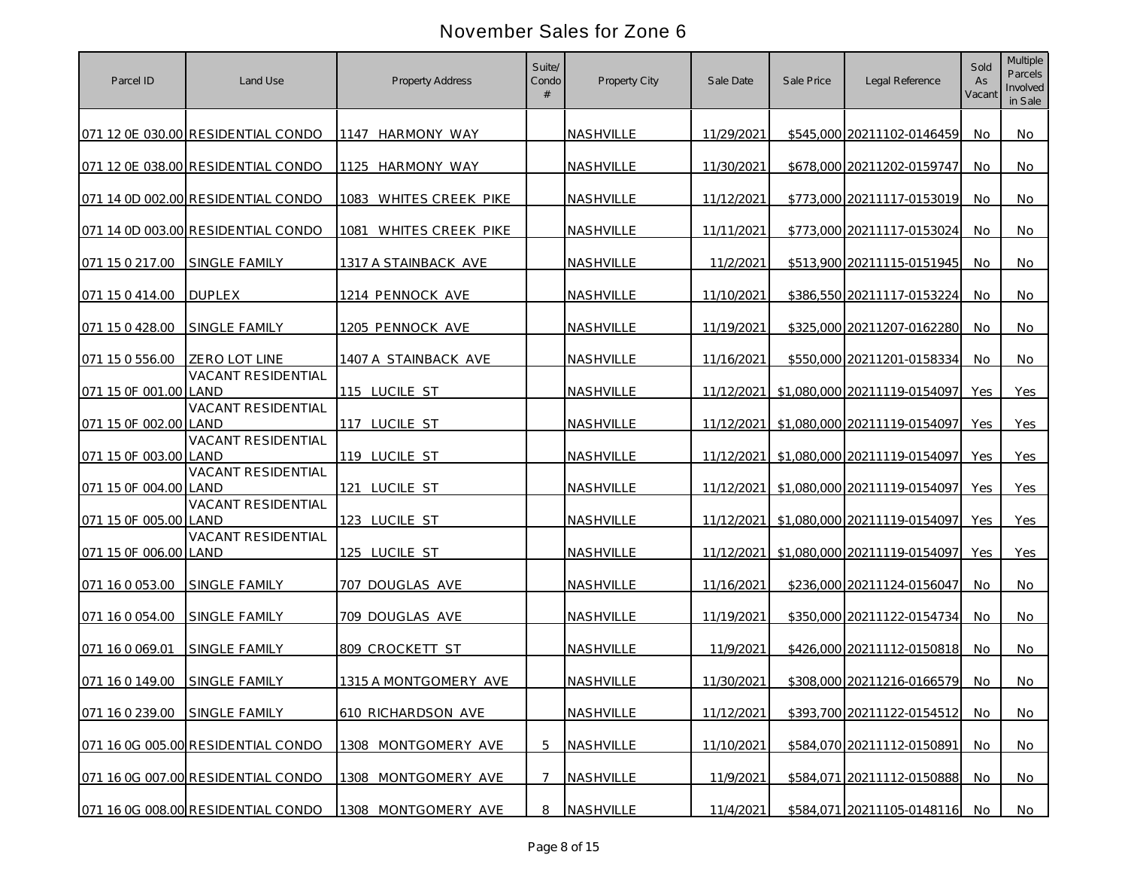| Parcel ID                     | Land Use                           | <b>Property Address</b>   | Suite/<br>Condo | Property City    | Sale Date   | Sale Price | Legal Reference                         | Sold<br>As<br>Vacant | <b>Multiple</b><br>Parcels<br>Involved<br>in Sale |
|-------------------------------|------------------------------------|---------------------------|-----------------|------------------|-------------|------------|-----------------------------------------|----------------------|---------------------------------------------------|
|                               | 071 12 0E 030.00 RESIDENTIAL CONDO | 1147 HARMONY WAY          |                 | <b>NASHVILLE</b> | 11/29/2021  |            | \$545,000 20211102-0146459              | No                   | No                                                |
|                               | 071 12 0E 038.00 RESIDENTIAL CONDO | 1125 HARMONY WAY          |                 | NASHVILLE        | 11/30/2021  |            | \$678,000 20211202-0159747              | No.                  | No                                                |
|                               | 071 14 0D 002.00 RESIDENTIAL CONDO | 1083 WHITES CREEK PIKE    |                 | NASHVILLE        | 11/12/2021  |            | \$773,000 20211117-0153019              | No                   | No                                                |
|                               | 071 14 0D 003.00 RESIDENTIAL CONDO | 1081<br>WHITES CREEK PIKE |                 | NASHVILLE        | 11/11/2021  |            | \$773,000 20211117-0153024              | No                   | No                                                |
| 071 15 0 217.00               | <b>SINGLE FAMILY</b>               | 1317 A STAINBACK AVE      |                 | NASHVILLE        | 11/2/2021   |            | \$513,900 20211115-0151945              | No                   | No                                                |
| 071 15 0 414.00               | <b>DUPLEX</b>                      | 1214 PENNOCK AVE          |                 | NASHVILLE        | 11/10/2021  |            | \$386,550 20211117-0153224              | No                   | No                                                |
| 071 15 0 428.00               | SINGLE FAMILY                      | 1205 PENNOCK AVE          |                 | NASHVILLE        | 11/19/2021  |            | \$325,000 20211207-0162280              | No                   | No                                                |
| 071 15 0 556.00               | ZERO LOT LINE                      | 1407 A STAINBACK AVE      |                 | NASHVILLE        | 11/16/2021  |            | \$550,000 20211201-0158334              | No.                  | No                                                |
| 071 15 0F 001.00 LAND         | <b>VACANT RESIDENTIAL</b>          | 115 LUCILE ST             |                 | NASHVILLE        |             |            | 11/12/2021 \$1,080,000 20211119-0154097 | Yes                  | Yes                                               |
| 071 15 OF 002.00 LAND         | <b>VACANT RESIDENTIAL</b>          | 117 LUCILE ST             |                 | NASHVILLE        |             |            | 11/12/2021 \$1,080,000 20211119-0154097 | Yes                  | Yes                                               |
| 071 15 OF 003.00 LAND         | VACANT RESIDENTIAL                 | 119 LUCILE ST             |                 | <b>NASHVILLE</b> |             |            | 11/12/2021 \$1.080.000 20211119-0154097 | Yes                  | Yes                                               |
| 071 15 OF 004.00 LAND         | VACANT RESIDENTIAL                 | 121 LUCILE ST             |                 | NASHVILLE        | 11/12/2021  |            | \$1,080,000 20211119-0154097            | Yes                  | Yes                                               |
| 071 15 0F 005.00 LAND         | VACANT RESIDENTIAL                 | 123 LUCILE ST             |                 | NASHVILLE        | 11/12/20211 |            | \$1,080,000 20211119-0154097            | Yes                  | Yes                                               |
| 071 15 0F 006.00 LAND         | VACANT RESIDENTIAL                 | 125 LUCILE ST             |                 | NASHVILLE        | 11/12/2021  |            | \$1,080,000 20211119-0154097            | Yes                  | Yes                                               |
| 071 16 0 053.00               | <b>SINGLE FAMILY</b>               | 707 DOUGLAS AVE           |                 | NASHVILLE        | 11/16/2021  |            | \$236,000 20211124-0156047              | No                   | No.                                               |
| 071 16 0 054.00               | <b>SINGLE FAMILY</b>               | 709 DOUGLAS AVE           |                 | NASHVILLE        | 11/19/2021  |            | \$350,000 20211122-0154734              | No.                  | No                                                |
| 071 16 0 069.01               | <b>SINGLE FAMILY</b>               | 809 CROCKETT ST           |                 | NASHVILLE        | 11/9/2021   |            | \$426,000 20211112-0150818              | No.                  | No.                                               |
| 071 16 0 149.00               | <b>SINGLE FAMILY</b>               | 1315 A MONTGOMERY AVE     |                 | NASHVILLE        | 11/30/2021  |            | \$308,000 20211216-0166579              | No                   | No                                                |
| 071 16 0 239.00 SINGLE FAMILY |                                    | 610 RICHARDSON AVE        |                 | NASHVILLE        | 11/12/2021  |            | \$393,700 20211122-0154512              | No                   | No                                                |
|                               | 071 16 0G 005.00 RESIDENTIAL CONDO | 1308 MONTGOMERY AVE       | 5               | NASHVILLE        | 11/10/2021  |            | \$584,070 20211112-0150891              | No                   | No                                                |
|                               | 071 16 0G 007.00 RESIDENTIAL CONDO | 1308 MONTGOMERY AVE       |                 | NASHVILLE        | 11/9/2021   |            | \$584,071 20211112-0150888              | No.                  | No                                                |
|                               | 071 16 0G 008.00 RESIDENTIAL CONDO | 1308 MONTGOMERY AVE       | 8               | NASHVILLE        | 11/4/2021   |            | \$584,071 20211105-0148116              | No                   | No                                                |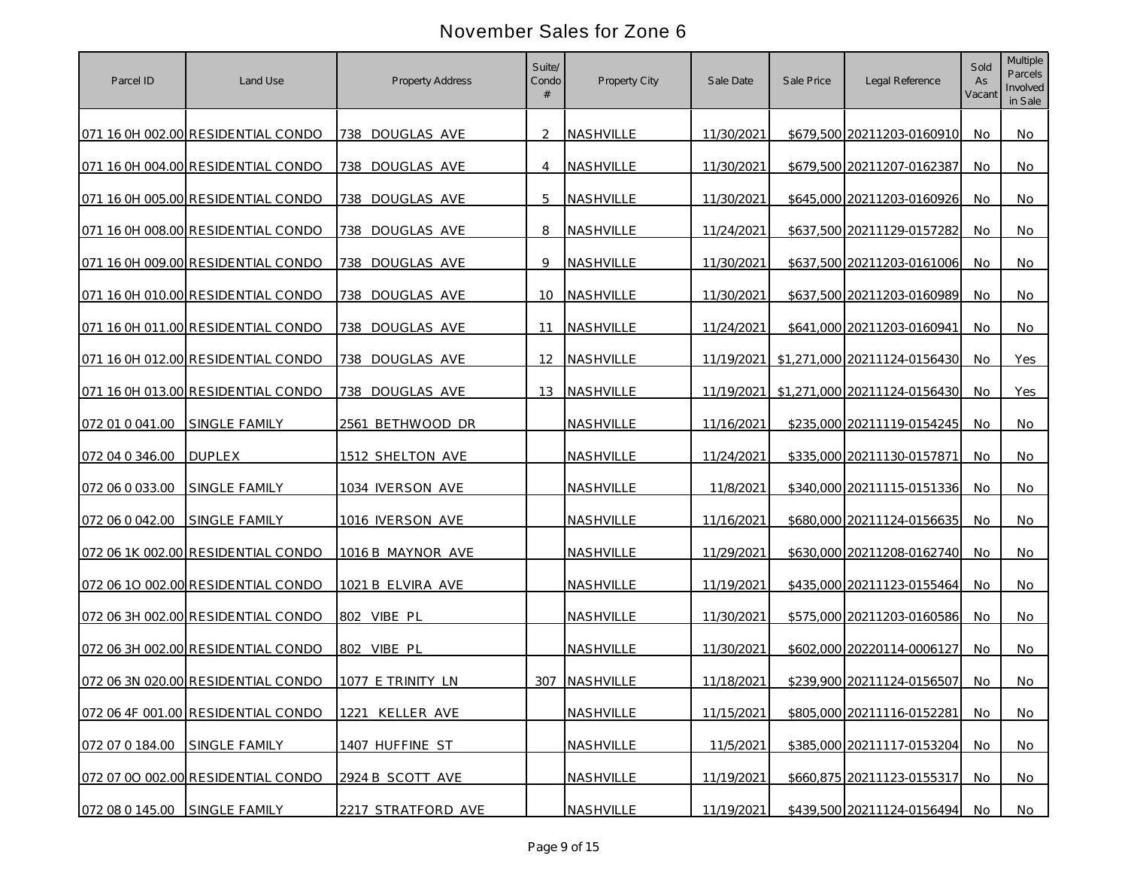| Parcel ID       | Land Use                           | <b>Property Address</b> | Suite/<br>Condo | Property City | Sale Date  | Sale Price | Legal Reference                         | Sold<br>As<br>Vacant | <b>Multiple</b><br>Parcels<br>Involved<br>in Sale |
|-----------------|------------------------------------|-------------------------|-----------------|---------------|------------|------------|-----------------------------------------|----------------------|---------------------------------------------------|
|                 | 071 16 0H 002.00 RESIDENTIAL CONDO | 738 DOUGLAS AVE         | $\mathcal{P}$   | NASHVILLE     | 11/30/2021 |            | \$679,500 20211203-0160910              | No.                  | No                                                |
|                 | 071 16 0H 004.00 RESIDENTIAL CONDO | 738 DOUGLAS AVE         | $\overline{4}$  | NASHVILLE     | 11/30/2021 |            | \$679,500 20211207-0162387              | No.                  | No                                                |
|                 | 071 16 0H 005.00 RESIDENTIAL CONDO | 738 DOUGLAS AVE         | 5               | NASHVILLE     | 11/30/2021 |            | \$645,000 20211203-0160926              | No                   | No                                                |
|                 | 071 16 0H 008.00 RESIDENTIAL CONDO | 738 DOUGLAS AVE         | 8               | NASHVILLE     | 11/24/2021 |            | \$637,500 20211129-0157282              | No                   | No                                                |
|                 | 071 16 0H 009.00 RESIDENTIAL CONDO | 738 DOUGLAS AVE         | 9               | NASHVILLE     | 11/30/2021 |            | \$637,500 20211203-0161006              | No                   | <b>No</b>                                         |
|                 | 071 16 0H 010.00 RESIDENTIAL CONDO | 738 DOUGLAS AVE         | 10              | NASHVILLE     | 11/30/2021 |            | \$637,500 20211203-0160989              | No                   | No                                                |
|                 | 071 16 0H 011.00 RESIDENTIAL CONDO | 738 DOUGLAS AVE         | 11              | NASHVILLE     | 11/24/2021 |            | \$641,000 20211203-0160941              | No                   | No                                                |
|                 | 071 16 0H 012.00 RESIDENTIAL CONDO | 738 DOUGLAS AVE         | 12              | NASHVILLE     | 11/19/2021 |            | \$1,271,000 20211124-0156430            | No                   | Yes                                               |
|                 | 071 16 0H 013.00 RESIDENTIAL CONDO | 738 DOUGLAS AVE         | 13              | NASHVILLE     |            |            | 11/19/2021 \$1,271,000 20211124-0156430 | No.                  | Yes                                               |
| 072 01 0 041.00 | SINGLE FAMILY                      | 2561 BETHWOOD DR        |                 | NASHVILLE     | 11/16/2021 |            | \$235,000 20211119-0154245              | No.                  | No                                                |
| 072 04 0 346.00 | <b>DUPLEX</b>                      | 1512 SHELTON AVE        |                 | NASHVILLE     | 11/24/2021 |            | \$335,000 20211130-0157871              | <b>No</b>            | No                                                |
| 072 06 0 033.00 | <b>SINGLE FAMILY</b>               | 1034 IVERSON AVE        |                 | NASHVILLE     | 11/8/2021  |            | \$340,000 20211115-0151336              | No                   | No                                                |
| 072 06 0 042.00 | <b>SINGLE FAMILY</b>               | 1016 IVERSON AVE        |                 | NASHVILLE     | 11/16/2021 |            | \$680,000 20211124-0156635              | <b>No</b>            | No                                                |
|                 | 072 06 1K 002.00 RESIDENTIAL CONDO | 1016 B MAYNOR AVE       |                 | NASHVILLE     | 11/29/2021 |            | \$630,000 20211208-0162740              | No                   | No                                                |
|                 | 072 06 10 002.00 RESIDENTIAL CONDO | 1021 B ELVIRA AVE       |                 | NASHVILLE     | 11/19/2021 |            | \$435,000 20211123-0155464              | No                   | No.                                               |
|                 | 072 06 3H 002.00 RESIDENTIAL CONDO | 802 VIBE PL             |                 | NASHVILLE     | 11/30/2021 |            | \$575,000 20211203-0160586              | <b>No</b>            | No                                                |
|                 | 072 06 3H 002.00 RESIDENTIAL CONDO | 802 VIBE PL             |                 | NASHVILLE     | 11/30/2021 |            | \$602,000 20220114-0006127              | No.                  | No                                                |
|                 | 072 06 3N 020.00 RESIDENTIAL CONDO | 1077 E TRINITY LN       | 307             | NASHVILLE     | 11/18/2021 |            | \$239,900 20211124-0156507              | No.                  | No                                                |
|                 | 072 06 4F 001.00 RESIDENTIAL CONDO | 1221 KELLER AVE         |                 | NASHVILLE     | 11/15/2021 |            | \$805,000 20211116-0152281              | No                   | No                                                |
| 072 07 0 184.00 | SINGLE FAMILY                      | 1407 HUFFINE ST         |                 | NASHVILLE     | 11/5/2021  |            | \$385,000 20211117-0153204              | No                   | No                                                |
|                 | 072 07 00 002.00 RESIDENTIAL CONDO | 2924 B SCOTT AVE        |                 | NASHVILLE     | 11/19/2021 |            | \$660,875 20211123-0155317              | No.                  | No                                                |
| 072 08 0 145.00 | SINGLE FAMILY                      | 2217 STRATFORD AVE      |                 | NASHVILLE     | 11/19/2021 |            | \$439,500 20211124-0156494              | No                   | No                                                |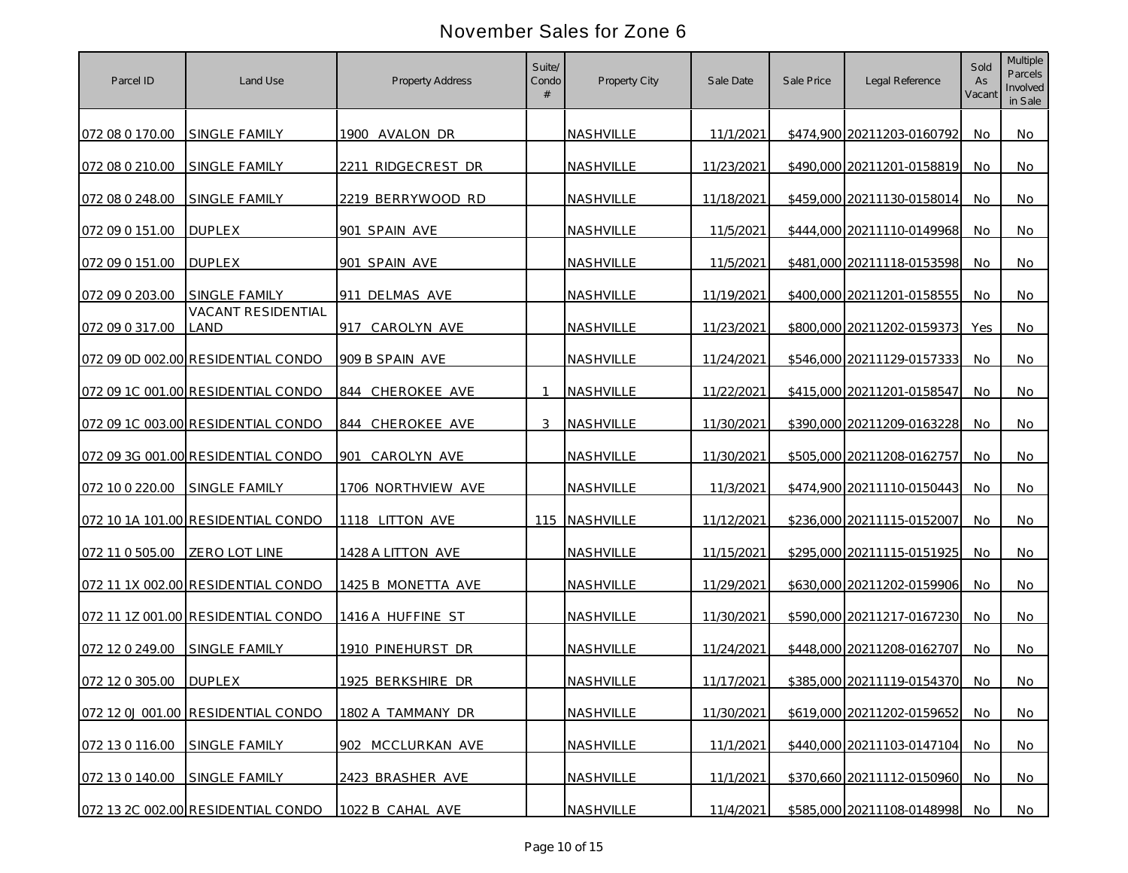| Parcel ID       | Land Use                           | <b>Property Address</b> | Suite/<br>Condo | Property City    | Sale Date  | Sale Price | Legal Reference            | Sold<br>As<br>Vacant | <b>Multiple</b><br>Parcels<br>Involved<br>in Sale |
|-----------------|------------------------------------|-------------------------|-----------------|------------------|------------|------------|----------------------------|----------------------|---------------------------------------------------|
| 072 08 0 170.00 | <b>SINGLE FAMILY</b>               | 1900 AVALON DR          |                 | NASHVILLE        | 11/1/2021  |            | \$474,900 20211203-0160792 | No                   | No                                                |
| 072 08 0 210.00 | <b>SINGLE FAMILY</b>               | 2211 RIDGECREST DR      |                 | NASHVILLE        | 11/23/2021 |            | \$490,000 20211201-0158819 | No.                  | No                                                |
| 072 08 0 248.00 | SINGLE FAMILY                      | 2219 BERRYWOOD RD       |                 | NASHVILLE        | 11/18/2021 |            | \$459,000 20211130-0158014 | No                   | No                                                |
| 072 09 0 151.00 | <b>DUPLEX</b>                      | 901 SPAIN AVE           |                 | NASHVILLE        | 11/5/2021  |            | \$444,000 20211110-0149968 | No                   | No                                                |
| 072 09 0 151.00 | <b>DUPLEX</b>                      | 901 SPAIN AVE           |                 | NASHVILLE        | 11/5/2021  |            | \$481,000 20211118-0153598 | No                   | No                                                |
| 072 09 0 203.00 | <b>SINGLE FAMILY</b>               | 911 DELMAS AVE          |                 | NASHVILLE        | 11/19/2021 |            | \$400,000 20211201-0158555 | No                   | No                                                |
| 072 09 0 317.00 | <b>VACANT RESIDENTIAL</b><br>LAND  | CAROLYN AVE<br>917      |                 | NASHVILLE        | 11/23/2021 |            | \$800,000 20211202-0159373 | Yes                  | No                                                |
|                 | 072 09 0D 002.00 RESIDENTIAL CONDO | 909 B SPAIN AVE         |                 | NASHVILLE        | 11/24/2021 |            | \$546,000 20211129-0157333 | No                   | No                                                |
|                 | 072 09 1C 001.00 RESIDENTIAL CONDO | 844 CHEROKEE AVE        |                 | NASHVILLE        | 11/22/2021 |            | \$415,000 20211201-0158547 | No                   | No                                                |
|                 | 072 09 1C 003.00 RESIDENTIAL CONDO | 844 CHEROKEE AVE        | 3               | NASHVILLE        | 11/30/2021 |            | \$390,000 20211209-0163228 | No.                  | No                                                |
|                 | 072 09 3G 001.00 RESIDENTIAL CONDO | 901<br>CAROLYN AVE      |                 | <b>NASHVILLE</b> | 11/30/2021 |            | \$505,000 20211208-0162757 | <b>No</b>            | No.                                               |
| 072 10 0 220.00 | <b>SINGLE FAMILY</b>               | 1706 NORTHVIEW AVE      |                 | NASHVILLE        | 11/3/2021  |            | \$474,900 20211110-0150443 | <b>No</b>            | No                                                |
|                 | 072 10 1A 101.00 RESIDENTIAL CONDO | 1118 LITTON AVE         |                 | 115 NASHVILLE    | 11/12/2021 |            | \$236,000 20211115-0152007 | No.                  | No                                                |
| 072 11 0 505.00 | <b>ZERO LOT LINE</b>               | 1428 A LITTON AVE       |                 | NASHVILLE        | 11/15/2021 |            | \$295,000 20211115-0151925 | No                   | No                                                |
|                 | 072 11 1X 002.00 RESIDENTIAL CONDO | 1425 B MONETTA AVE      |                 | NASHVILLE        | 11/29/2021 |            | \$630,000 20211202-0159906 | <b>No</b>            | No.                                               |
|                 | 072 11 1Z 001.00 RESIDENTIAL CONDO | 1416 A HUFFINE ST       |                 | NASHVILLE        | 11/30/2021 |            | \$590,000 20211217-0167230 | <b>No</b>            | No                                                |
| 072 12 0 249.00 | SINGLE FAMILY                      | 1910 PINEHURST DR       |                 | NASHVILLE        | 11/24/2021 |            | \$448,000 20211208-0162707 | No.                  | No                                                |
| 072 12 0 305.00 | <b>DUPLEX</b>                      | 1925 BERKSHIRE DR       |                 | NASHVILLE        | 11/17/2021 |            | \$385,000 20211119-0154370 | No                   | No                                                |
|                 | 072 12 0J 001.00 RESIDENTIAL CONDO | 1802 A TAMMANY DR       |                 | NASHVILLE        | 11/30/2021 |            | \$619,000 20211202-0159652 | No                   | No                                                |
| 072 13 0 116.00 | SINGLE FAMILY                      | 902 MCCLURKAN AVE       |                 | NASHVILLE        | 11/1/2021  |            | \$440,000 20211103-0147104 | No                   | No                                                |
| 072 13 0 140.00 | SINGLE FAMILY                      | 2423 BRASHER AVE        |                 | NASHVILLE        | 11/1/2021  |            | \$370,660 20211112-0150960 | No.                  | No                                                |
|                 | 072 13 2C 002.00 RESIDENTIAL CONDO | 1022 B CAHAL AVE        |                 | NASHVILLE        | 11/4/2021  |            | \$585,000 20211108-0148998 | No                   | No                                                |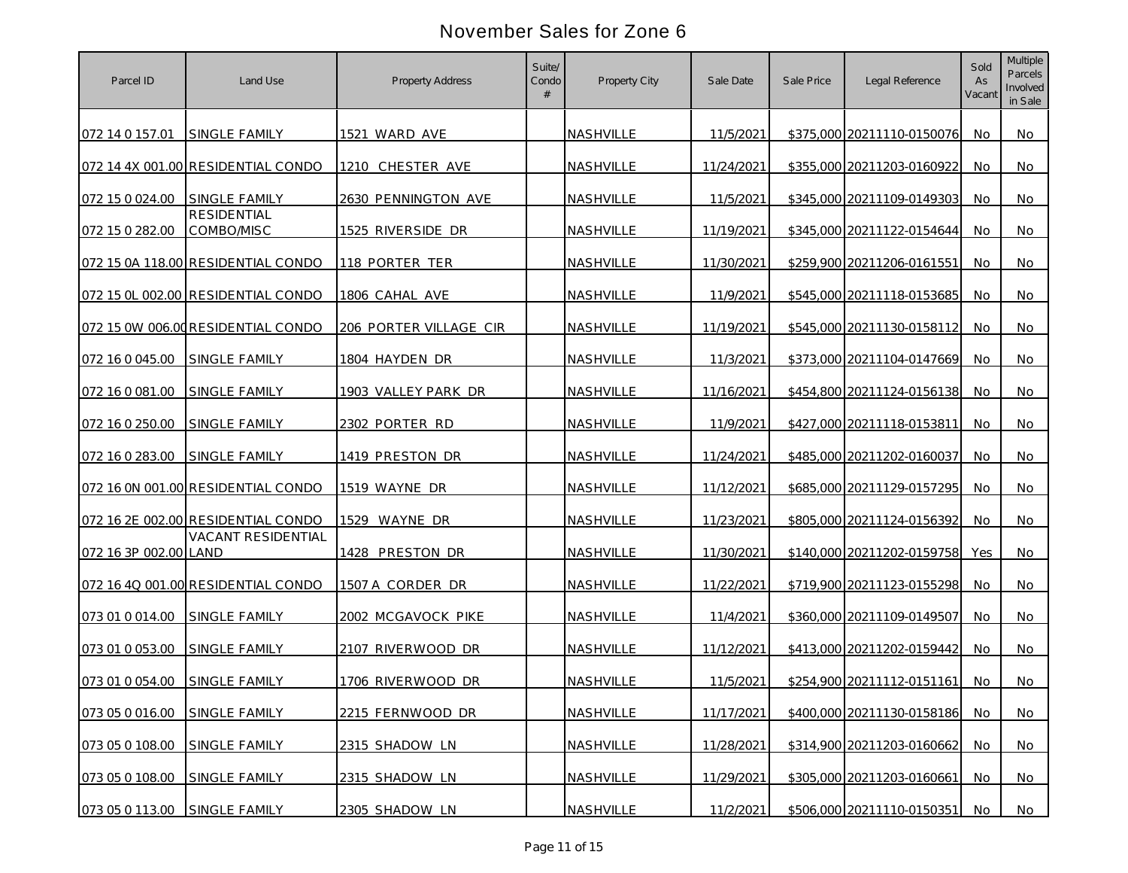| Parcel ID             | Land Use                           | <b>Property Address</b> | Suite/<br>Condo | Property City    | Sale Date  | Sale Price | Legal Reference            | Sold<br>As<br>Vacant | <b>Multiple</b><br>Parcels<br>Involved<br>in Sale |
|-----------------------|------------------------------------|-------------------------|-----------------|------------------|------------|------------|----------------------------|----------------------|---------------------------------------------------|
| 072 14 0 157.01       | <b>SINGLE FAMILY</b>               | 1521 WARD AVE           |                 | NASHVILLE        | 11/5/2021  |            | \$375,000 20211110-0150076 | No.                  | No                                                |
|                       | 072 14 4X 001.00 RESIDENTIAL CONDO | 1210 CHESTER AVE        |                 | NASHVILLE        | 11/24/2021 |            | \$355,000 20211203-0160922 | No.                  | No                                                |
| 072 15 0 024.00       | SINGLE FAMILY                      | 2630 PENNINGTON AVE     |                 | NASHVILLE        | 11/5/2021  |            | \$345,000 20211109-0149303 | No                   | No                                                |
| 072 15 0 282.00       | <b>RESIDENTIAL</b><br>COMBO/MISC   | 1525 RIVERSIDE DR       |                 | NASHVILLE        | 11/19/2021 |            | \$345,000 20211122-0154644 | No                   | No                                                |
|                       | 072 15 0A 118.00 RESIDENTIAL CONDO | 118 PORTER TER          |                 | NASHVILLE        | 11/30/2021 |            | \$259,900 20211206-0161551 | No                   | No                                                |
|                       | 072 15 OL 002.00 RESIDENTIAL CONDO | 1806 CAHAL AVE          |                 | NASHVILLE        | 11/9/2021  |            | \$545,000 20211118-0153685 | No                   | No                                                |
|                       | 072 15 0W 006.00 RESIDENTIAL CONDO | 206 PORTER VILLAGE CIR  |                 | NASHVILLE        | 11/19/2021 |            | \$545,000 20211130-0158112 | No                   | No                                                |
| 072 16 0 045.00       | SINGLE FAMILY                      | 1804 HAYDEN DR          |                 | NASHVILLE        | 11/3/2021  |            | \$373,000 20211104-0147669 | No                   | No                                                |
| 072 16 0 081.00       | SINGLE FAMILY                      | 1903 VALLEY PARK DR     |                 | NASHVILLE        | 11/16/2021 |            | \$454,800 20211124-0156138 | No                   | No                                                |
| 072 16 0 250.00       | <b>SINGLE FAMILY</b>               | 2302 PORTER RD          |                 | <b>NASHVILLE</b> | 11/9/2021  |            | \$427,000 20211118-0153811 | No.                  | No                                                |
| 072 16 0 283.00       | <b>SINGLE FAMILY</b>               | 1419 PRESTON DR         |                 | <b>NASHVILLE</b> | 11/24/2021 |            | \$485,000 20211202-0160037 | <b>No</b>            | No.                                               |
|                       | 072 16 0N 001.00 RESIDENTIAL CONDO | 1519 WAYNE DR           |                 | NASHVILLE        | 11/12/2021 |            | \$685,000 20211129-0157295 | No                   | No                                                |
|                       | 072 16 2E 002.00 RESIDENTIAL CONDO | 1529 WAYNE DR           |                 | NASHVILLE        | 11/23/2021 |            | \$805,000 20211124-0156392 | No.                  | No                                                |
| 072 16 3P 002.00 LAND | VACANT RESIDENTIAL                 | 1428 PRESTON DR         |                 | NASHVILLE        | 11/30/2021 |            | \$140,000 20211202-0159758 | Yes                  | No                                                |
|                       | 072 16 4Q 001.00 RESIDENTIAL CONDO | 1507 A CORDER DR        |                 | NASHVILLE        | 11/22/2021 |            | \$719,900 20211123-0155298 | No.                  | No.                                               |
| 073 01 0 014.00       | SINGLE FAMILY                      | 2002 MCGAVOCK PIKE      |                 | <b>NASHVILLE</b> | 11/4/2021  |            | \$360,000 20211109-0149507 | <b>No</b>            | No                                                |
| 073 01 0 053.00       | <b>SINGLE FAMILY</b>               | 2107 RIVERWOOD DR       |                 | NASHVILLE        | 11/12/2021 |            | \$413,000 20211202-0159442 | No.                  | No.                                               |
| 073 01 0 054.00       | <b>SINGLE FAMILY</b>               | 1706 RIVERWOOD DR       |                 | NASHVILLE        | 11/5/2021  |            | \$254,900 20211112-0151161 | No.                  | No                                                |
| 073 05 0 016.00       | SINGLE FAMILY                      | 2215 FERNWOOD DR        |                 | NASHVILLE        | 11/17/2021 |            | \$400,000 20211130-0158186 | No                   | No                                                |
| 073 05 0 108.00       | SINGLE FAMILY                      | 2315 SHADOW LN          |                 | NASHVILLE        | 11/28/2021 |            | \$314,900 20211203-0160662 | No                   | No                                                |
| 073 05 0 108.00       | SINGLE FAMILY                      | 2315 SHADOW LN          |                 | NASHVILLE        | 11/29/2021 |            | \$305,000 20211203-0160661 | No.                  | No                                                |
| 073 05 0 113.00       | SINGLE FAMILY                      | 2305 SHADOW LN          |                 | NASHVILLE        | 11/2/2021  |            | \$506,000 20211110-0150351 | No                   | No                                                |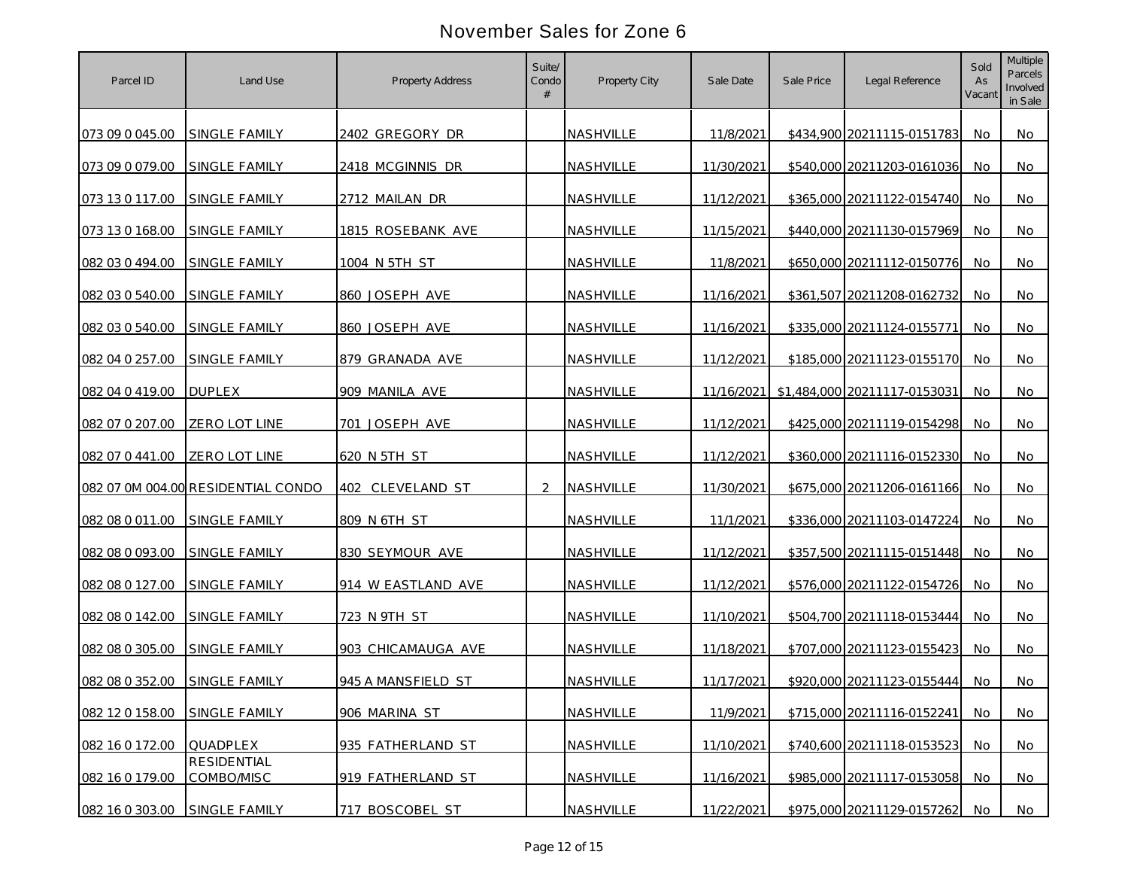| Parcel ID       | Land Use                           | <b>Property Address</b> | Suite/<br>Condo      | Property City    | Sale Date  | Sale Price | Legal Reference              | Sold<br>As<br>Vacant | <b>Multiple</b><br>Parcels<br>Involved<br>in Sale |
|-----------------|------------------------------------|-------------------------|----------------------|------------------|------------|------------|------------------------------|----------------------|---------------------------------------------------|
| 073 09 0 045.00 | <b>SINGLE FAMILY</b>               | 2402 GREGORY DR         |                      | NASHVILLE        | 11/8/2021  |            | \$434,900 20211115-0151783   | No.                  | No                                                |
| 073 09 0 079.00 | <b>SINGLE FAMILY</b>               | 2418 MCGINNIS DR        |                      | NASHVILLE        | 11/30/2021 |            | \$540,000 20211203-0161036   | No.                  | No                                                |
| 073 13 0 117.00 | SINGLE FAMILY                      | 2712 MAILAN DR          |                      | NASHVILLE        | 11/12/2021 |            | \$365,000 20211122-0154740   | <b>No</b>            | No                                                |
| 073 13 0 168.00 | SINGLE FAMILY                      | 1815 ROSEBANK AVE       |                      | NASHVILLE        | 11/15/2021 |            | \$440,000 20211130-0157969   | No                   | No                                                |
| 082 03 0 494.00 | SINGLE FAMILY                      | 1004 N 5TH ST           |                      | NASHVILLE        | 11/8/2021  |            | \$650,000 20211112-0150776   | No                   | No                                                |
| 082 03 0 540.00 | SINGLE FAMILY                      | 860 JOSEPH AVE          |                      | NASHVILLE        | 11/16/2021 |            | \$361,507 20211208-0162732   | No                   | No                                                |
| 082 03 0 540.00 | <b>SINGLE FAMILY</b>               | 860 JOSEPH AVE          |                      | NASHVILLE        | 11/16/2021 |            | \$335,000 20211124-0155771   | No                   | No                                                |
| 082 04 0 257.00 | SINGLE FAMILY                      | 879 GRANADA AVE         |                      | NASHVILLE        | 11/12/2021 |            | \$185,000 20211123-0155170   | No                   | No                                                |
| 082 04 0 419.00 | <b>DUPLEX</b>                      | 909 MANILA AVE          |                      | NASHVILLE        | 11/16/2021 |            | \$1,484,000 20211117-0153031 | No                   | No                                                |
| 082 07 0 207.00 | <b>ZERO LOT LINE</b>               | 701 JOSEPH AVE          |                      | NASHVILLE        | 11/12/2021 |            | \$425,000 20211119-0154298   | No.                  | No                                                |
| 082 07 0 441.00 | ZERO LOT LINE                      | 620 N 5TH ST            |                      | <b>NASHVILLE</b> | 11/12/2021 |            | \$360,000 20211116-0152330   | <b>No</b>            | No                                                |
|                 | 082 07 0M 004.00 RESIDENTIAL CONDO | 402 CLEVELAND ST        | $\mathcal{P} \equiv$ | NASHVILLE        | 11/30/2021 |            | \$675,000 20211206-0161166   | No                   | No                                                |
| 082 08 0 011.00 | SINGLE FAMILY                      | 809 N 6TH ST            |                      | NASHVILLE        | 11/1/2021  |            | \$336,000 20211103-0147224   | <b>No</b>            | No                                                |
| 082 08 0 093.00 | SINGLE FAMILY                      | 830 SEYMOUR AVE         |                      | NASHVILLE        | 11/12/2021 |            | \$357,500 20211115-0151448   | No                   | No                                                |
| 082 08 0 127.00 | SINGLE FAMILY                      | 914 W EASTLAND AVE      |                      | NASHVILLE        | 11/12/2021 |            | \$576,000 20211122-0154726   | No.                  | No.                                               |
| 082 08 0 142.00 | SINGLE FAMILY                      | 723 N 9TH ST            |                      | NASHVILLE        | 11/10/2021 |            | \$504,700 20211118-0153444   | <b>No</b>            | No                                                |
| 082 08 0 305.00 | <b>SINGLE FAMILY</b>               | 903 CHICAMAUGA AVE      |                      | NASHVILLE        | 11/18/2021 |            | \$707,000 20211123-0155423   | No.                  | No                                                |
| 082 08 0 352.00 | SINGLE FAMILY                      | 945 A MANSFIELD ST      |                      | NASHVILLE        | 11/17/2021 |            | \$920,000 20211123-0155444   | No.                  | No                                                |
| 082 12 0 158.00 | SINGLE FAMILY                      | 906 MARINA ST           |                      | NASHVILLE        | 11/9/2021  |            | \$715,000 20211116-0152241   | No.                  | No                                                |
| 082 16 0 172.00 | QUADPLEX                           | 935 FATHERLAND ST       |                      | NASHVILLE        | 11/10/2021 |            | \$740,600 20211118-0153523   | No                   | No                                                |
| 082 16 0 179.00 | <b>RESIDENTIAL</b><br>COMBO/MISC   | 919 FATHERLAND ST       |                      | NASHVILLE        | 11/16/2021 |            | \$985,000 20211117-0153058   | No.                  | No                                                |
| 082 16 0 303.00 | SINGLE FAMILY                      | 717 BOSCOBEL ST         |                      | NASHVILLE        | 11/22/2021 |            | \$975,000 20211129-0157262   | No                   | No                                                |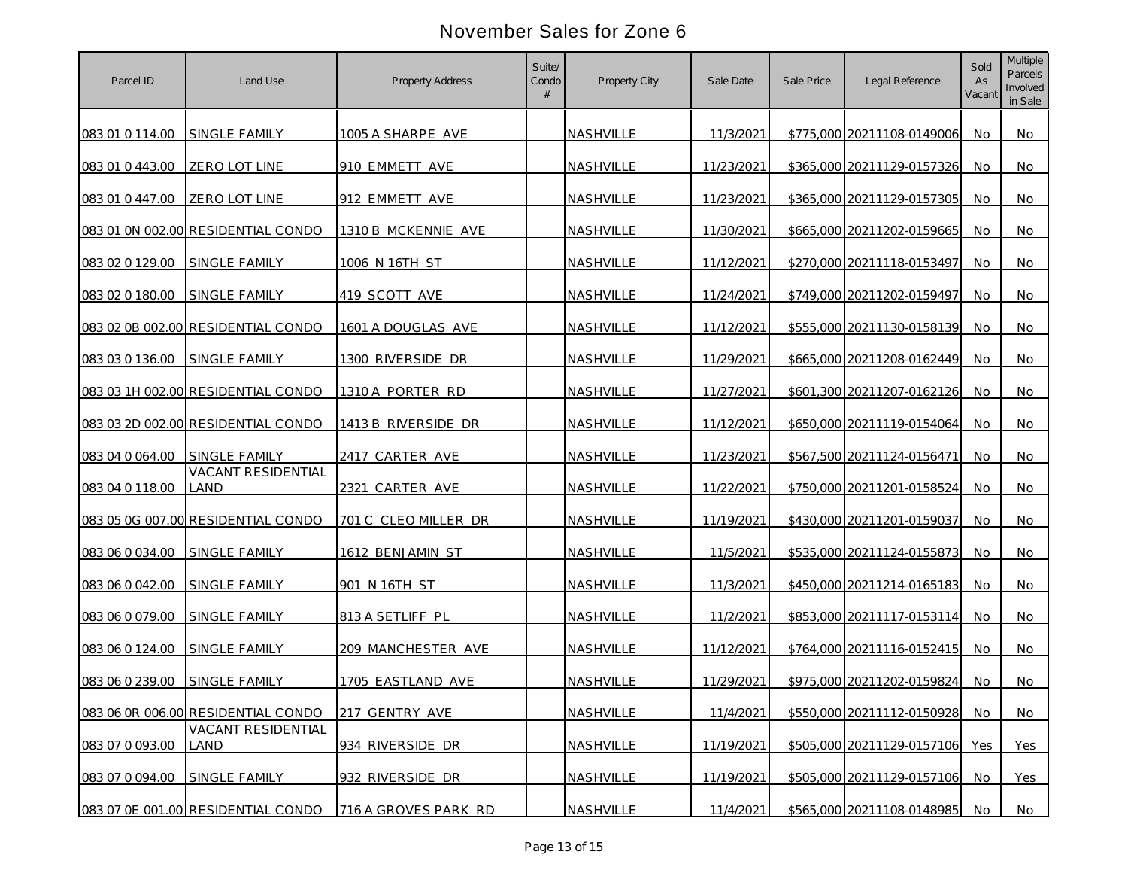| Parcel ID       | Land Use                                   | <b>Property Address</b> | Suite/<br>Condo | Property City    | Sale Date  | Sale Price | Legal Reference            | Sold<br>As<br>Vacant | <b>Multiple</b><br>Parcels<br>Involved<br>in Sale |
|-----------------|--------------------------------------------|-------------------------|-----------------|------------------|------------|------------|----------------------------|----------------------|---------------------------------------------------|
| 083 01 0 114.00 | <b>SINGLE FAMILY</b>                       | 1005 A SHARPE AVE       |                 | NASHVILLE        | 11/3/2021  |            | \$775,000 20211108-0149006 | No                   | No                                                |
| 083 01 0 443.00 | ZERO LOT LINE                              | 910 EMMETT AVE          |                 | NASHVILLE        | 11/23/2021 |            | \$365,000 20211129-0157326 | No.                  | No                                                |
| 083 01 0 447.00 | <b>ZERO LOT LINE</b>                       | 912 EMMETT AVE          |                 | NASHVILLE        | 11/23/2021 |            | \$365,000 20211129-0157305 | No                   | No                                                |
|                 | 083 01 0N 002.00 RESIDENTIAL CONDO         | 1310 B MCKENNIE AVE     |                 | NASHVILLE        | 11/30/2021 |            | \$665,000 20211202-0159665 | No                   | No                                                |
| 083 02 0 129.00 | SINGLE FAMILY                              | 1006 N 16TH ST          |                 | NASHVILLE        | 11/12/2021 |            | \$270,000 20211118-0153497 | No                   | No                                                |
| 083 02 0 180.00 | SINGLE FAMILY                              | 419 SCOTT AVE           |                 | NASHVILLE        | 11/24/2021 |            | \$749,000 20211202-0159497 | No                   | No                                                |
|                 | 083 02 0B 002.00 RESIDENTIAL CONDO         | 1601 A DOUGLAS AVE      |                 | NASHVILLE        | 11/12/2021 |            | \$555,000 20211130-0158139 | No                   | No                                                |
| 083 03 0 136.00 | SINGLE FAMILY                              | 1300 RIVERSIDE DR       |                 | NASHVILLE        | 11/29/2021 |            | \$665,000 20211208-0162449 | No                   | No                                                |
|                 | 083 03 1H 002.00 RESIDENTIAL CONDO         | 1310 A PORTER RD        |                 | NASHVILLE        | 11/27/2021 |            | \$601,300 20211207-0162126 | No                   | No                                                |
|                 | 083 03 2D 002.00 RESIDENTIAL CONDO         | 1413 B RIVERSIDE DR     |                 | NASHVILLE        | 11/12/2021 |            | \$650,000 20211119-0154064 | No.                  | No                                                |
| 083 04 0 064.00 | <b>SINGLE FAMILY</b><br>VACANT RESIDENTIAL | 2417 CARTER AVE         |                 | <b>NASHVILLE</b> | 11/23/2021 |            | \$567.500 20211124-0156471 | No.                  | No.                                               |
| 083 04 0 118.00 | LAND                                       | 2321 CARTER AVE         |                 | NASHVILLE        | 11/22/2021 |            | \$750,000 20211201-0158524 | No                   | No                                                |
|                 | 083 05 0G 007.00 RESIDENTIAL CONDO         | 701 C CLEO MILLER DR    |                 | <b>NASHVILLE</b> | 11/19/2021 |            | \$430,000 20211201-0159037 | No.                  | No                                                |
| 083 06 0 034.00 | SINGLE FAMILY                              | 1612 BENJAMIN ST        |                 | NASHVILLE        | 11/5/2021  |            | \$535,000 20211124-0155873 | No                   | No                                                |
| 083 06 0 042.00 | SINGLE FAMILY                              | 901 N 16TH ST           |                 | NASHVILLE        | 11/3/2021  |            | \$450,000 20211214-0165183 | No.                  | No.                                               |
| 083 06 0 079.00 | SINGLE FAMILY                              | 813 A SETLIFF PL        |                 | NASHVILLE        | 11/2/2021  |            | \$853,000 20211117-0153114 | <b>No</b>            | No                                                |
| 083 06 0 124.00 | <b>SINGLE FAMILY</b>                       | 209 MANCHESTER AVE      |                 | NASHVILLE        | 11/12/2021 |            | \$764,000 20211116-0152415 | No.                  | No                                                |
| 083 06 0 239.00 | SINGLE FAMILY                              | 1705 EASTLAND AVE       |                 | NASHVILLE        | 11/29/2021 |            | \$975,000 20211202-0159824 | No.                  | No                                                |
|                 | 083 06 0R 006.00 RESIDENTIAL CONDO         | 217 GENTRY AVE          |                 | NASHVILLE        | 11/4/2021  |            | \$550,000 20211112-0150928 | No.                  | No                                                |
| 083 07 0 093.00 | <b>VACANT RESIDENTIAL</b><br>LAND          | 934 RIVERSIDE DR        |                 | NASHVILLE        | 11/19/2021 |            | \$505,000 20211129-0157106 | Yes                  | Yes                                               |
| 083 07 0 094.00 | SINGLE FAMILY                              | 932 RIVERSIDE DR        |                 | NASHVILLE        | 11/19/2021 |            | \$505,000 20211129-0157106 | No.                  | <b>Yes</b>                                        |
|                 | 083 07 0E 001.00 RESIDENTIAL CONDO         | 716 A GROVES PARK RD    |                 | NASHVILLE        | 11/4/2021  |            | \$565,000 20211108-0148985 | No                   | No                                                |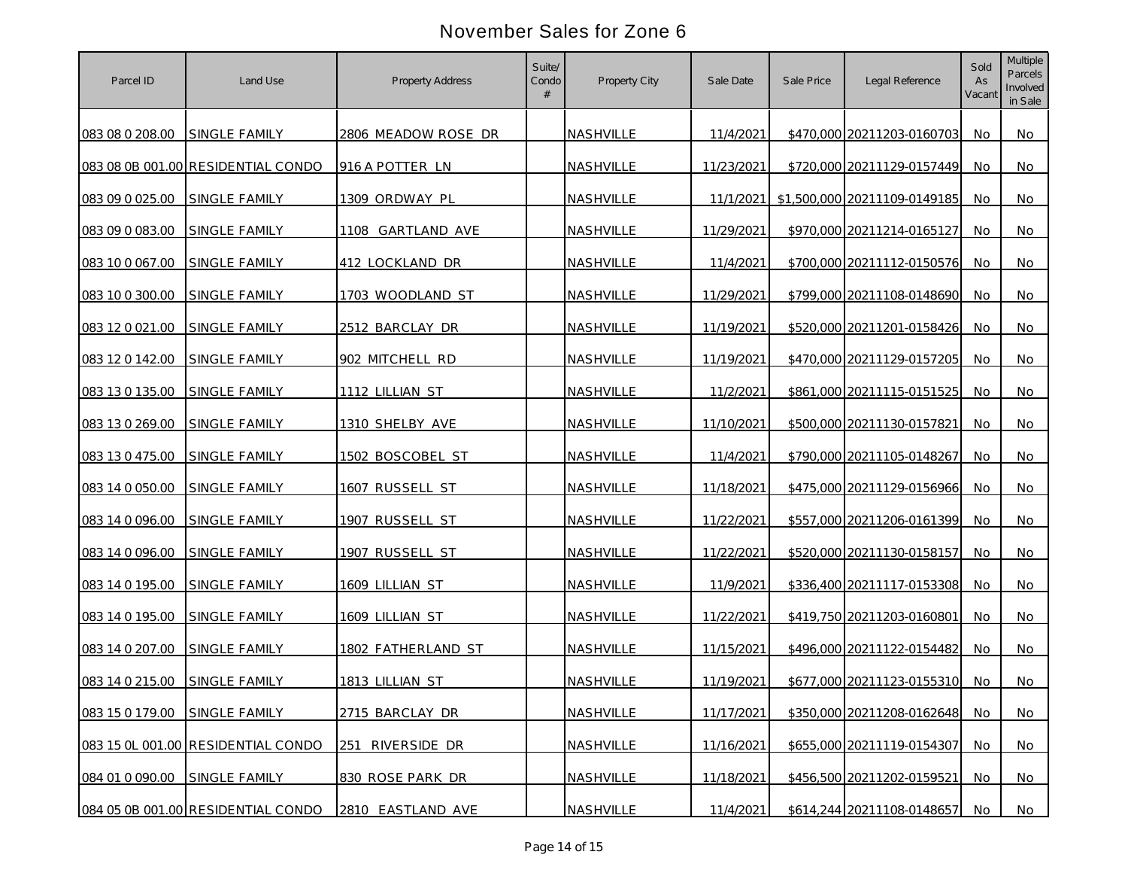| Parcel ID                     | Land Use                           | <b>Property Address</b> | Suite/<br>Condo | Property City | Sale Date  | Sale Price | Legal Reference                        | Sold<br>As<br>Vacant | <b>Multiple</b><br>Parcels<br>Involved<br>in Sale |
|-------------------------------|------------------------------------|-------------------------|-----------------|---------------|------------|------------|----------------------------------------|----------------------|---------------------------------------------------|
| 083 08 0 208.00               | <b>SINGLE FAMILY</b>               | 2806 MEADOW ROSE DR     |                 | NASHVILLE     | 11/4/2021  |            | \$470,000 20211203-0160703             | <b>No</b>            | No                                                |
|                               | 083 08 0B 001.00 RESIDENTIAL CONDO | 916 A POTTER LN         |                 | NASHVILLE     | 11/23/2021 |            | \$720,000 20211129-0157449             | No.                  | No                                                |
| 083 09 0 025.00               | SINGLE FAMILY                      | 1309 ORDWAY PL          |                 | NASHVILLE     |            |            | 11/1/2021 \$1,500,000 20211109-0149185 | No                   | No                                                |
| 083 09 0 083.00               | SINGLE FAMILY                      | 1108 GARTLAND AVE       |                 | NASHVILLE     | 11/29/2021 |            | \$970,000 20211214-0165127             | No                   | No                                                |
| 083 10 0 067.00               | SINGLE FAMILY                      | 412 LOCKLAND DR         |                 | NASHVILLE     | 11/4/2021  |            | \$700,000 20211112-0150576             | No                   | No                                                |
| 083 10 0 300.00               | SINGLE FAMILY                      | 1703 WOODLAND ST        |                 | NASHVILLE     | 11/29/2021 |            | \$799,000 20211108-0148690             | No                   | No                                                |
| 083 12 0 021 00               | <b>SINGLE FAMILY</b>               | 2512 BARCLAY DR         |                 | NASHVILLE     | 11/19/2021 |            | \$520,000 20211201-0158426             | No                   | No                                                |
| 083 12 0 142.00               | SINGLE FAMILY                      | 902 MITCHELL RD         |                 | NASHVILLE     | 11/19/2021 |            | \$470,000 20211129-0157205             | No                   | No                                                |
| 083 13 0 135.00               | SINGLE FAMILY                      | 1112 LILLIAN ST         |                 | NASHVILLE     | 11/2/2021  |            | \$861,000 20211115-0151525             | No                   | No                                                |
| 083 13 0 269.00               | <b>SINGLE FAMILY</b>               | 1310 SHELBY AVE         |                 | NASHVILLE     | 11/10/2021 |            | \$500,000 20211130-0157821             | No.                  | No                                                |
| 083 13 0 475.00               | SINGLE FAMILY                      | 1502 BOSCOBEL ST        |                 | NASHVILLE     | 11/4/2021  |            | \$790,000 20211105-0148267             | <b>No</b>            | No                                                |
| 083 14 0 050.00               | SINGLE FAMILY                      | 1607 RUSSELL ST         |                 | NASHVILLE     | 11/18/2021 |            | \$475,000 20211129-0156966             | No                   | No                                                |
| 083 14 0 096.00               | SINGLE FAMILY                      | 1907 RUSSELL ST         |                 | NASHVILLE     | 11/22/2021 |            | \$557,000 20211206-0161399             | <b>No</b>            | No                                                |
| 083 14 0 096.00               | SINGLE FAMILY                      | 1907 RUSSELL ST         |                 | NASHVILLE     | 11/22/2021 |            | \$520,000 20211130-0158157             | No                   | No                                                |
| 083 14 0 195.00               | SINGLE FAMILY                      | 1609 LILLIAN ST         |                 | NASHVILLE     | 11/9/2021  |            | \$336,400 20211117-0153308             | No                   | No.                                               |
| 083 14 0 195.00               | <b>SINGLE FAMILY</b>               | 1609 LILLIAN ST         |                 | NASHVILLE     | 11/22/2021 |            | \$419,750 20211203-0160801             | <b>No</b>            | No                                                |
| 083 14 0 207.00               | <b>SINGLE FAMILY</b>               | 1802 FATHERLAND ST      |                 | NASHVILLE     | 11/15/2021 |            | \$496,000 20211122-0154482             | No.                  | No                                                |
| 083 14 0 215.00               | <b>SINGLE FAMILY</b>               | 1813 LILLIAN ST         |                 | NASHVILLE     | 11/19/2021 |            | \$677,000 20211123-0155310             | No.                  | No                                                |
| 083 15 0 179.00 SINGLE FAMILY |                                    | 2715 BARCLAY DR         |                 | NASHVILLE     | 11/17/2021 |            | \$350,000 20211208-0162648             | No                   | No                                                |
|                               | 083 15 OL 001.00 RESIDENTIAL CONDO | 251 RIVERSIDE DR        |                 | NASHVILLE     | 11/16/2021 |            | \$655,000 20211119-0154307             | No                   | No                                                |
| 084 01 0 090.00 SINGLE FAMILY |                                    | 830 ROSE PARK DR        |                 | NASHVILLE     | 11/18/2021 |            | \$456,500 20211202-0159521             | No.                  | No                                                |
|                               | 084 05 0B 001.00 RESIDENTIAL CONDO | 2810 EASTLAND AVE       |                 | NASHVILLE     | 11/4/2021  |            | \$614,244 20211108-0148657             | No                   | No                                                |